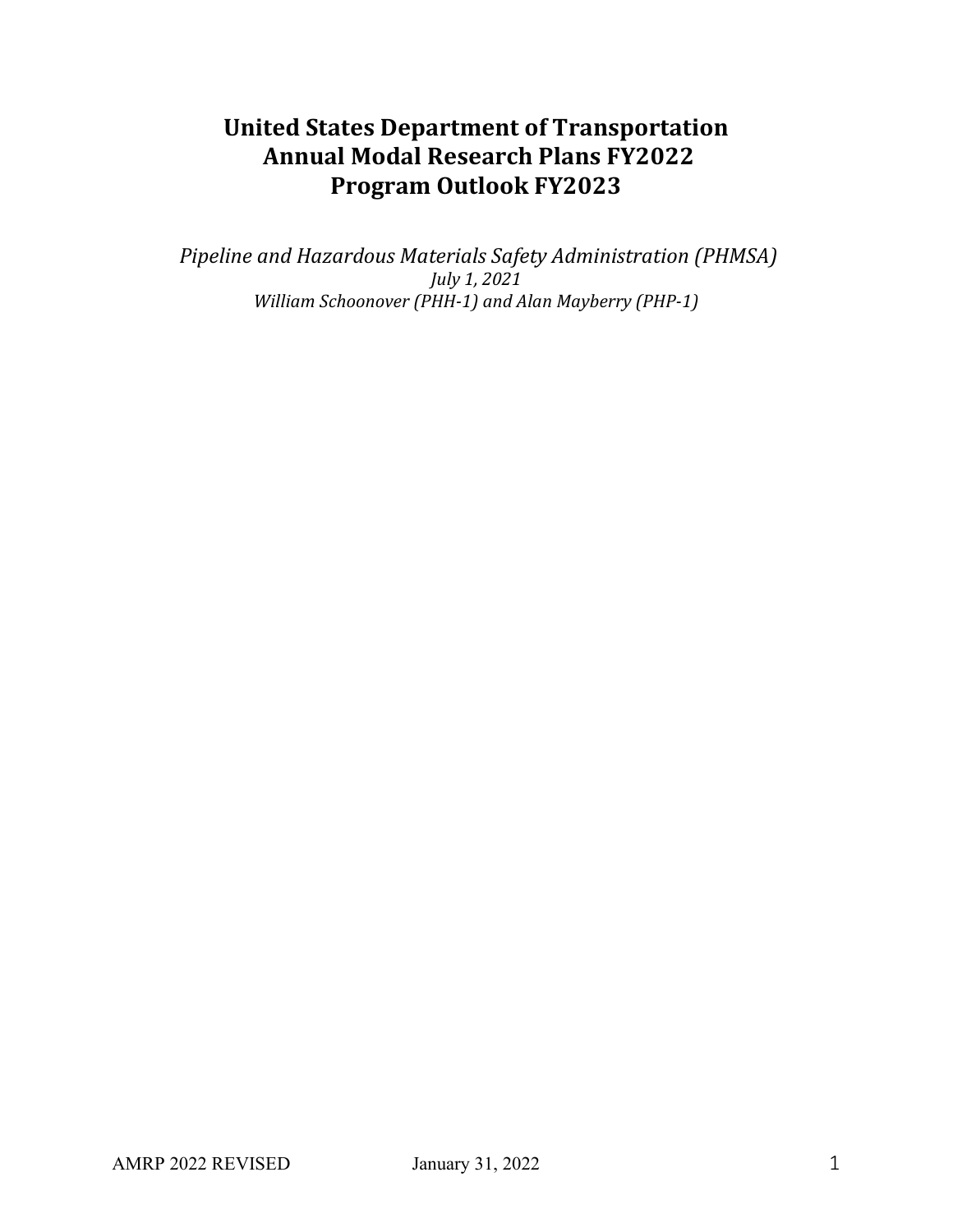# **United States Department of Transportation Annual Modal Research Plans FY2022 Program Outlook FY2023**

*Pipeline and Hazardous Materials Safety Administration (PHMSA) July 1, 2021 William Schoonover (PHH-1) and Alan Mayberry (PHP-1)*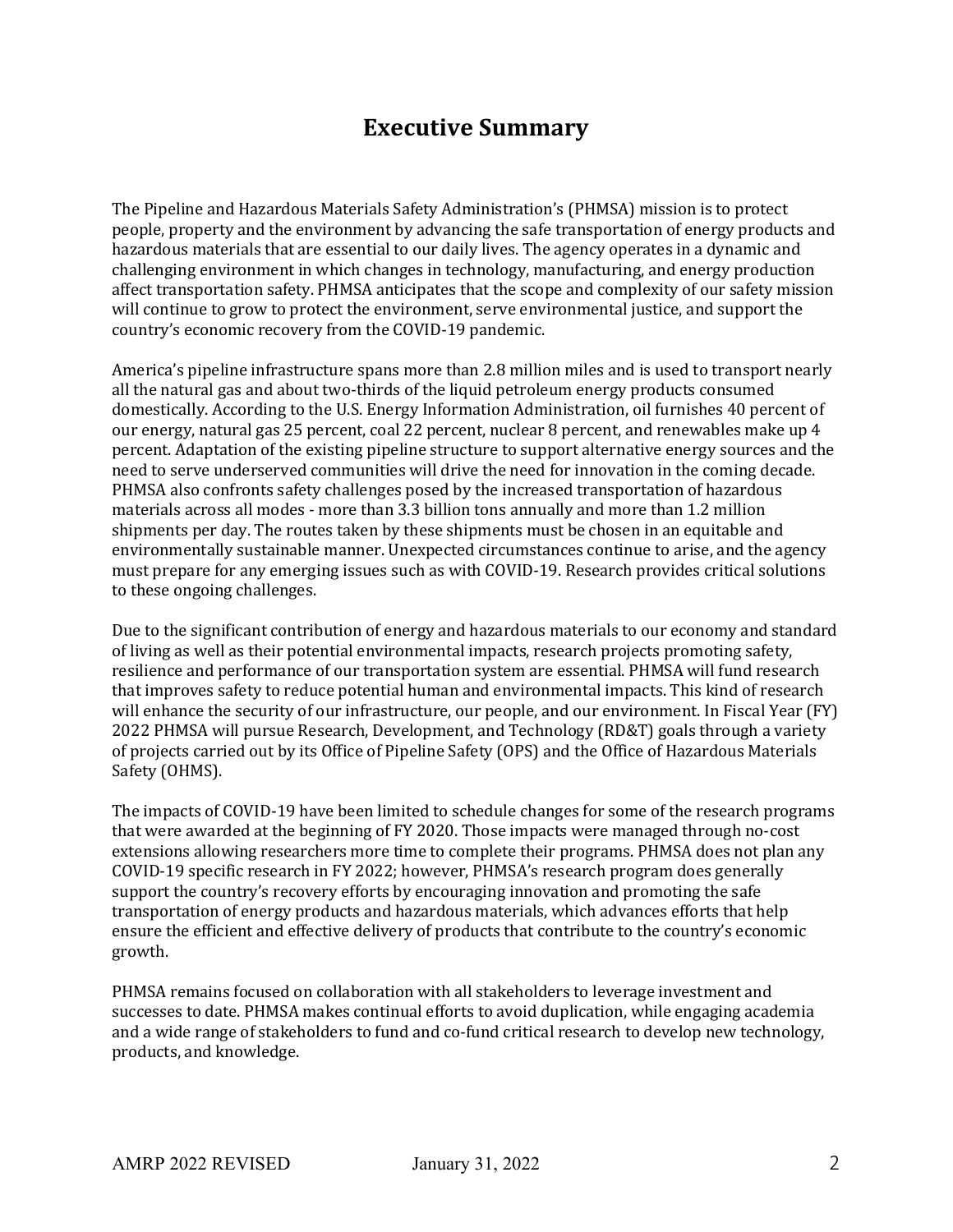# **Executive Summary**

The Pipeline and Hazardous Materials Safety Administration's (PHMSA) mission is to protect people, property and the environment by advancing the safe transportation of energy products and hazardous materials that are essential to our daily lives. The agency operates in a dynamic and challenging environment in which changes in technology, manufacturing, and energy production affect transportation safety. PHMSA anticipates that the scope and complexity of our safety mission will continue to grow to protect the environment, serve environmental justice, and support the country's economic recovery from the COVID-19 pandemic.

America's pipeline infrastructure spans more than 2.8 million miles and is used to transport nearly all the natural gas and about two-thirds of the liquid petroleum energy products consumed domestically. According to the U.S. Energy Information Administration, oil furnishes 40 percent of our energy, natural gas 25 percent, coal 22 percent, nuclear 8 percent, and renewables make up 4 percent. Adaptation of the existing pipeline structure to support alternative energy sources and the need to serve underserved communities will drive the need for innovation in the coming decade. PHMSA also confronts safety challenges posed by the increased transportation of hazardous materials across all modes - more than 3.3 billion tons annually and more than 1.2 million shipments per day. The routes taken by these shipments must be chosen in an equitable and environmentally sustainable manner. Unexpected circumstances continue to arise, and the agency must prepare for any emerging issues such as with COVID-19. Research provides critical solutions to these ongoing challenges.

Due to the significant contribution of energy and hazardous materials to our economy and standard of living as well as their potential environmental impacts, research projects promoting safety, resilience and performance of our transportation system are essential. PHMSA will fund research that improves safety to reduce potential human and environmental impacts. This kind of research will enhance the security of our infrastructure, our people, and our environment. In Fiscal Year (FY) 2022 PHMSA will pursue Research, Development, and Technology (RD&T) goals through a variety of projects carried out by its Office of Pipeline Safety (OPS) and the Office of Hazardous Materials Safety (OHMS).

The impacts of COVID-19 have been limited to schedule changes for some of the research programs that were awarded at the beginning of FY 2020. Those impacts were managed through no-cost extensions allowing researchers more time to complete their programs. PHMSA does not plan any COVID-19 specific research in FY 2022; however, PHMSA's research program does generally support the country's recovery efforts by encouraging innovation and promoting the safe transportation of energy products and hazardous materials, which advances efforts that help ensure the efficient and effective delivery of products that contribute to the country's economic growth.

PHMSA remains focused on collaboration with all stakeholders to leverage investment and successes to date. PHMSA makes continual efforts to avoid duplication, while engaging academia and a wide range of stakeholders to fund and co-fund critical research to develop new technology, products, and knowledge.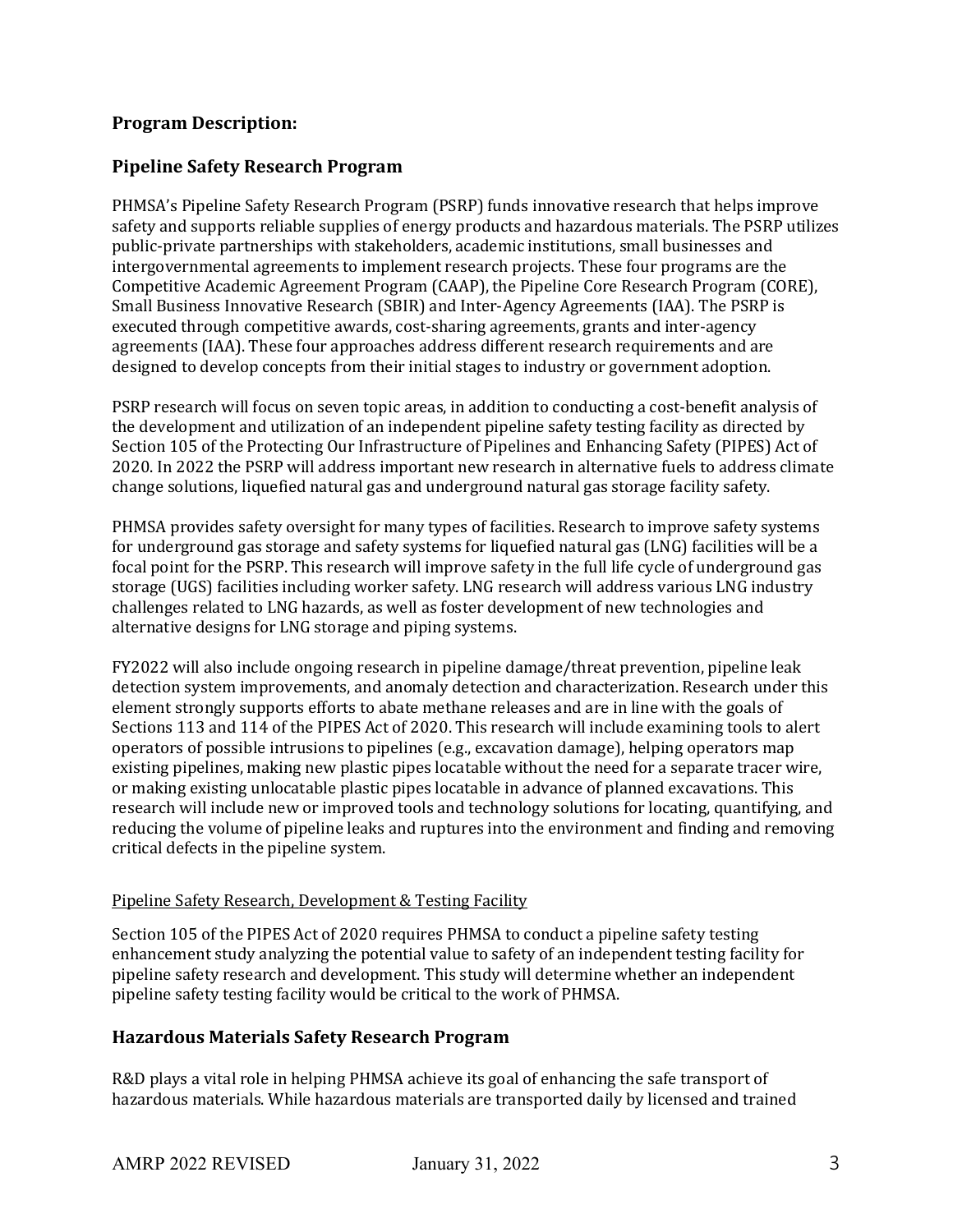### **Program Description:**

### **Pipeline Safety Research Program**

PHMSA's Pipeline Safety Research Program (PSRP) funds innovative research that helps improve safety and supports reliable supplies of energy products and hazardous materials. The PSRP utilizes public-private partnerships with stakeholders, academic institutions, small businesses and intergovernmental agreements to implement research projects. These four programs are the Competitive Academic Agreement Program (CAAP), the Pipeline Core Research Program (CORE), Small Business Innovative Research (SBIR) and Inter-Agency Agreements (IAA). The PSRP is executed through competitive awards, cost-sharing agreements, grants and inter-agency agreements (IAA). These four approaches address different research requirements and are designed to develop concepts from their initial stages to industry or government adoption.

PSRP research will focus on seven topic areas, in addition to conducting a cost-benefit analysis of the development and utilization of an independent pipeline safety testing facility as directed by Section 105 of the Protecting Our Infrastructure of Pipelines and Enhancing Safety (PIPES) Act of 2020. In 2022 the PSRP will address important new research in alternative fuels to address climate change solutions, liquefied natural gas and underground natural gas storage facility safety.

PHMSA provides safety oversight for many types of facilities. Research to improve safety systems for underground gas storage and safety systems for liquefied natural gas (LNG) facilities will be a focal point for the PSRP. This research will improve safety in the full life cycle of underground gas storage (UGS) facilities including worker safety. LNG research will address various LNG industry challenges related to LNG hazards, as well as foster development of new technologies and alternative designs for LNG storage and piping systems.

FY2022 will also include ongoing research in pipeline damage/threat prevention, pipeline leak detection system improvements, and anomaly detection and characterization. Research under this element strongly supports efforts to abate methane releases and are in line with the goals of Sections 113 and 114 of the PIPES Act of 2020. This research will include examining tools to alert operators of possible intrusions to pipelines (e.g., excavation damage), helping operators map existing pipelines, making new plastic pipes locatable without the need for a separate tracer wire, or making existing unlocatable plastic pipes locatable in advance of planned excavations. This research will include new or improved tools and technology solutions for locating, quantifying, and reducing the volume of pipeline leaks and ruptures into the environment and finding and removing critical defects in the pipeline system.

#### Pipeline Safety Research, Development & Testing Facility

Section 105 of the PIPES Act of 2020 requires PHMSA to conduct a pipeline safety testing enhancement study analyzing the potential value to safety of an independent testing facility for pipeline safety research and development. This study will determine whether an independent pipeline safety testing facility would be critical to the work of PHMSA.

#### **Hazardous Materials Safety Research Program**

R&D plays a vital role in helping PHMSA achieve its goal of enhancing the safe transport of hazardous materials. While hazardous materials are transported daily by licensed and trained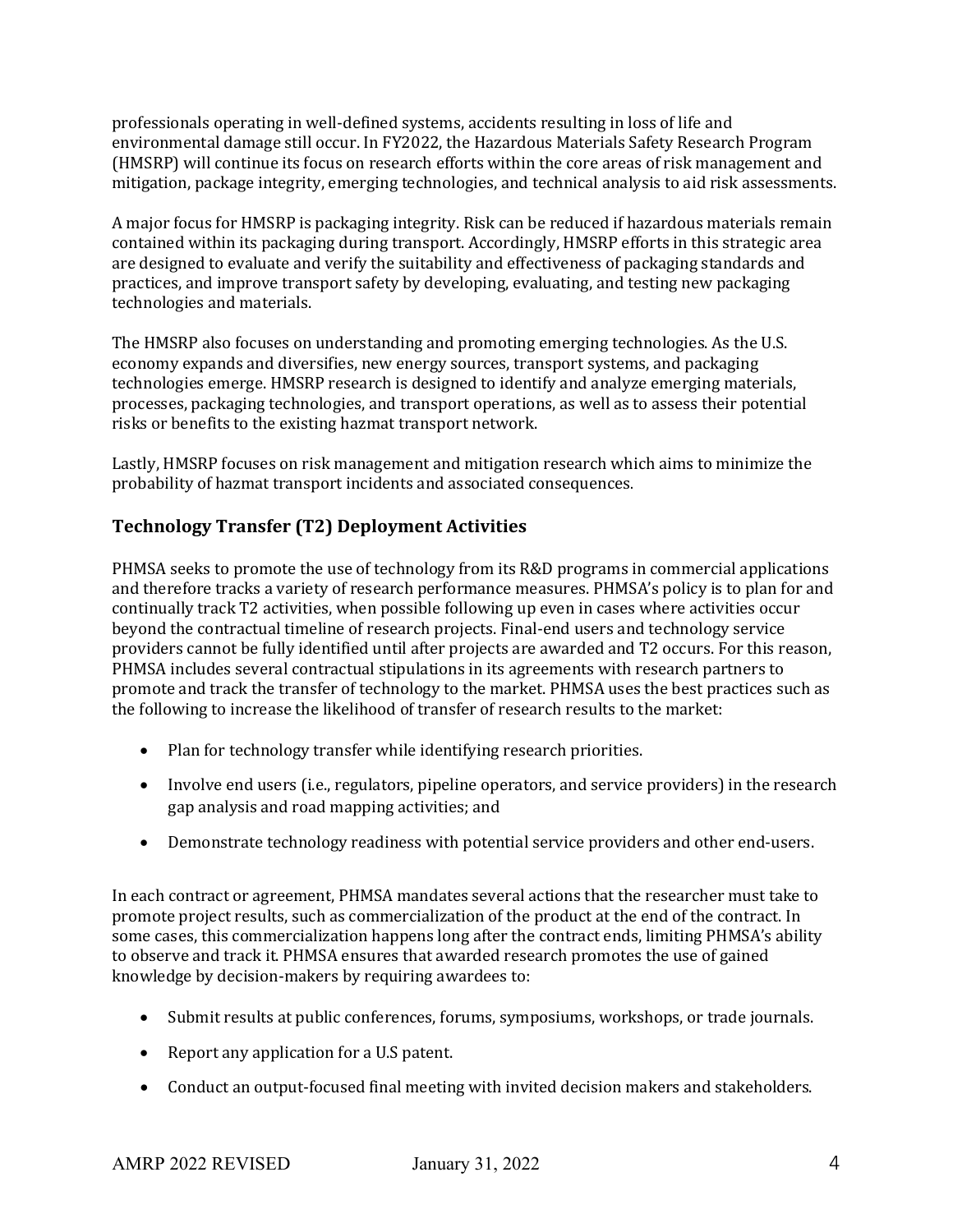professionals operating in well-defined systems, accidents resulting in loss of life and environmental damage still occur. In FY2022, the Hazardous Materials Safety Research Program (HMSRP) will continue its focus on research efforts within the core areas of risk management and mitigation, package integrity, emerging technologies, and technical analysis to aid risk assessments.

A major focus for HMSRP is packaging integrity. Risk can be reduced if hazardous materials remain contained within its packaging during transport. Accordingly, HMSRP efforts in this strategic area are designed to evaluate and verify the suitability and effectiveness of packaging standards and practices, and improve transport safety by developing, evaluating, and testing new packaging technologies and materials.

The HMSRP also focuses on understanding and promoting emerging technologies. As the U.S. economy expands and diversifies, new energy sources, transport systems, and packaging technologies emerge. HMSRP research is designed to identify and analyze emerging materials, processes, packaging technologies, and transport operations, as well as to assess their potential risks or benefits to the existing hazmat transport network.

Lastly, HMSRP focuses on risk management and mitigation research which aims to minimize the probability of hazmat transport incidents and associated consequences.

### **Technology Transfer (T2) Deployment Activities**

PHMSA seeks to promote the use of technology from its R&D programs in commercial applications and therefore tracks a variety of research performance measures. PHMSA's policy is to plan for and continually track T2 activities, when possible following up even in cases where activities occur beyond the contractual timeline of research projects. Final-end users and technology service providers cannot be fully identified until after projects are awarded and T2 occurs. For this reason, PHMSA includes several contractual stipulations in its agreements with research partners to promote and track the transfer of technology to the market. PHMSA uses the best practices such as the following to increase the likelihood of transfer of research results to the market:

- Plan for technology transfer while identifying research priorities.
- Involve end users (i.e., regulators, pipeline operators, and service providers) in the research gap analysis and road mapping activities; and
- Demonstrate technology readiness with potential service providers and other end-users.

In each contract or agreement, PHMSA mandates several actions that the researcher must take to promote project results, such as commercialization of the product at the end of the contract. In some cases, this commercialization happens long after the contract ends, limiting PHMSA's ability to observe and track it. PHMSA ensures that awarded research promotes the use of gained knowledge by decision-makers by requiring awardees to:

- Submit results at public conferences, forums, symposiums, workshops, or trade journals.
- Report any application for a U.S patent.
- Conduct an output-focused final meeting with invited decision makers and stakeholders.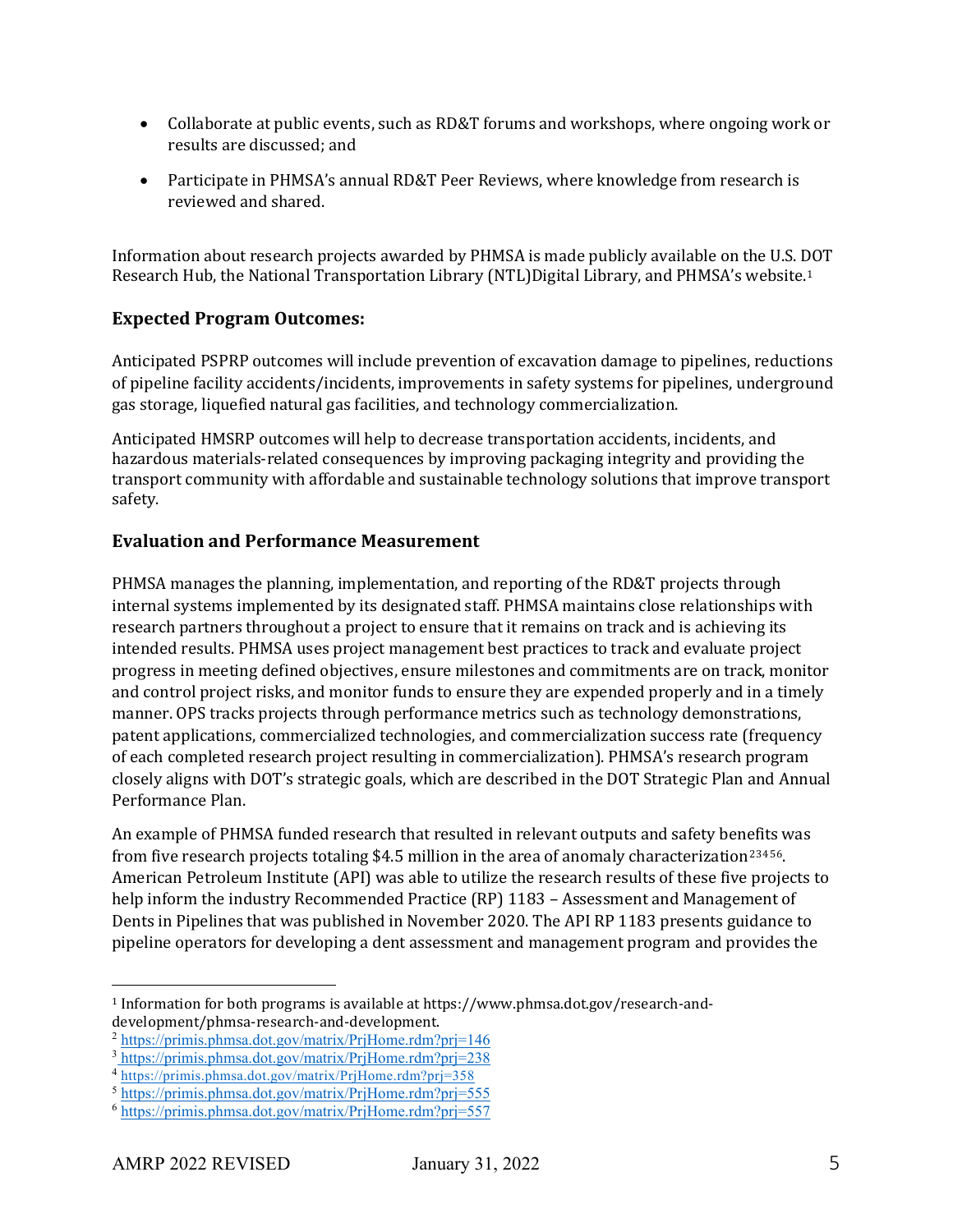- Collaborate at public events, such as RD&T forums and workshops, where ongoing work or results are discussed; and
- Participate in PHMSA's annual RD&T Peer Reviews, where knowledge from research is reviewed and shared.

Information about research projects awarded by PHMSA is made publicly available on the U.S. DOT Research Hub, the National Transportation Library (NTL)Digital Library, and PHMSA's website.[1](#page-4-0) 

### **Expected Program Outcomes:**

Anticipated PSPRP outcomes will include prevention of excavation damage to pipelines, reductions of pipeline facility accidents/incidents, improvements in safety systems for pipelines, underground gas storage, liquefied natural gas facilities, and technology commercialization.

Anticipated HMSRP outcomes will help to decrease transportation accidents, incidents, and hazardous materials-related consequences by improving packaging integrity and providing the transport community with affordable and sustainable technology solutions that improve transport safety.

### **Evaluation and Performance Measurement**

PHMSA manages the planning, implementation, and reporting of the RD&T projects through internal systems implemented by its designated staff. PHMSA maintains close relationships with research partners throughout a project to ensure that it remains on track and is achieving its intended results. PHMSA uses project management best practices to track and evaluate project progress in meeting defined objectives, ensure milestones and commitments are on track, monitor and control project risks, and monitor funds to ensure they are expended properly and in a timely manner. OPS tracks projects through performance metrics such as technology demonstrations, patent applications, commercialized technologies, and commercialization success rate (frequency of each completed research project resulting in commercialization). PHMSA's research program closely aligns with DOT's strategic goals, which are described in the DOT Strategic Plan and Annual Performance Plan.

An example of PHMSA funded research that resulted in relevant outputs and safety benefits was from five research projects totaling \$4.5 million in the area of anomaly characterization[2](#page-4-1)[3](#page-4-2)[4](#page-4-3)[5](#page-4-4)[6.](#page-4-5) American Petroleum Institute (API) was able to utilize the research results of these five projects to help inform the industry Recommended Practice (RP) 1183 – Assessment and Management of Dents in Pipelines that was published in November 2020. The API RP 1183 presents guidance to pipeline operators for developing a dent assessment and management program and provides the

<span id="page-4-0"></span><sup>1</sup> Information for both programs is available at https://www.phmsa.dot.gov/research-and-

<span id="page-4-1"></span> $a^2$  https://primis.phmsa.dot.gov/matrix/PrjHome.rdm?prj=146

<span id="page-4-2"></span><sup>3</sup> https://primis.phmsa.dot.gov/matrix/PrjHome.rdm?prj=238

<span id="page-4-3"></span><sup>4</sup> <https://primis.phmsa.dot.gov/matrix/PrjHome.rdm?prj=358>

<span id="page-4-4"></span><sup>5</sup> https://primis.phmsa.dot.gov/matrix/PrjHome.rdm?prj=555

<span id="page-4-5"></span><sup>6</sup> https://primis.phmsa.dot.gov/matrix/PrjHome.rdm?prj=557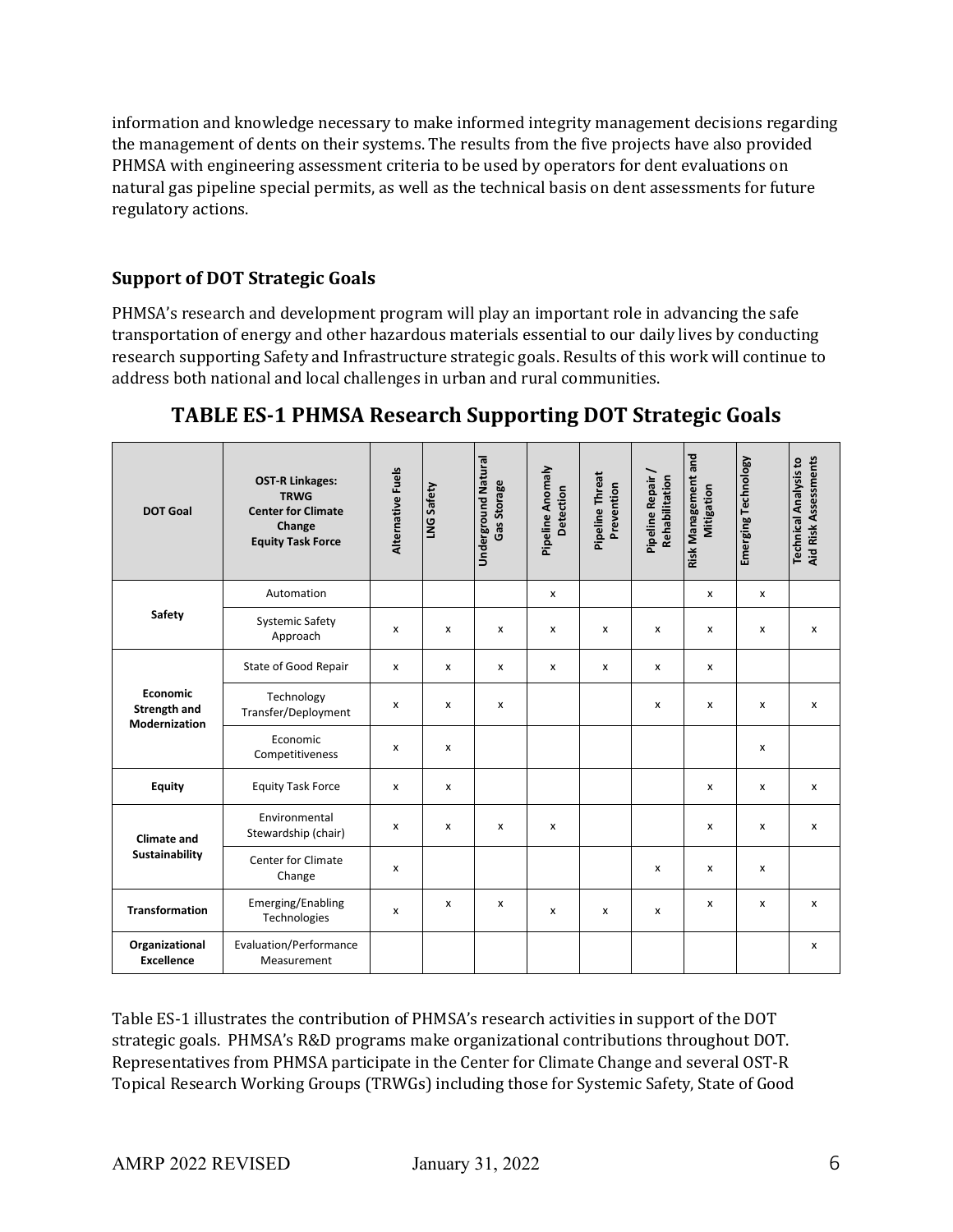information and knowledge necessary to make informed integrity management decisions regarding the management of dents on their systems. The results from the five projects have also provided PHMSA with engineering assessment criteria to be used by operators for dent evaluations on natural gas pipeline special permits, as well as the technical basis on dent assessments for future regulatory actions.

### **Support of DOT Strategic Goals**

PHMSA's research and development program will play an important role in advancing the safe transportation of energy and other hazardous materials essential to our daily lives by conducting research supporting Safety and Infrastructure strategic goals. Results of this work will continue to address both national and local challenges in urban and rural communities.

| <b>DOT Goal</b>                                         | <b>OST-R Linkages:</b><br><b>TRWG</b><br><b>Center for Climate</b><br>Change<br><b>Equity Task Force</b> | Alternative Fuels | LNG Safety | <b>Underground Natural</b><br>Gas Storage | Pipeline Anomaly<br>Detection | Pipeline Threat<br>Prevention | Pipeline Repair /<br>Rehabilitation | Risk Management and<br>Mitigation | Emerging Technology | <b>Aid Risk Assessments</b><br><b>Technical Analysis to</b> |
|---------------------------------------------------------|----------------------------------------------------------------------------------------------------------|-------------------|------------|-------------------------------------------|-------------------------------|-------------------------------|-------------------------------------|-----------------------------------|---------------------|-------------------------------------------------------------|
|                                                         | Automation                                                                                               |                   |            |                                           | $\pmb{\chi}$                  |                               |                                     | x                                 | x                   |                                                             |
| Safety                                                  | <b>Systemic Safety</b><br>Approach                                                                       | x                 | X          | x                                         | $\mathsf{x}$                  | x                             | x                                   | x                                 | X                   | x                                                           |
|                                                         | State of Good Repair                                                                                     | x                 | x          | X                                         | X                             | x                             | X                                   | x                                 |                     |                                                             |
| <b>Economic</b><br><b>Strength and</b><br>Modernization | Technology<br>Transfer/Deployment                                                                        | x                 | x          | x                                         |                               |                               | x                                   | x                                 | x                   | x                                                           |
|                                                         | Economic<br>Competitiveness                                                                              | x                 | x          |                                           |                               |                               |                                     |                                   | x                   |                                                             |
| <b>Equity</b>                                           | <b>Equity Task Force</b>                                                                                 | x                 | x          |                                           |                               |                               |                                     | x                                 | x                   | x                                                           |
| <b>Climate and</b><br>Sustainability                    | Environmental<br>Stewardship (chair)                                                                     | x                 | x          | x                                         | $\mathsf{x}$                  |                               |                                     | x                                 | $\mathsf{x}$        | x                                                           |
|                                                         | Center for Climate<br>Change                                                                             | x                 |            |                                           |                               |                               | x                                   | x                                 | X                   |                                                             |
| <b>Transformation</b>                                   | Emerging/Enabling<br>Technologies                                                                        | X                 | x          | x                                         | X                             | X                             | X                                   | x                                 | X                   | x                                                           |
| Organizational<br><b>Excellence</b>                     | Evaluation/Performance<br>Measurement                                                                    |                   |            |                                           |                               |                               |                                     |                                   |                     | x                                                           |

## **TABLE ES-1 PHMSA Research Supporting DOT Strategic Goals**

Table ES-1 illustrates the contribution of PHMSA's research activities in support of the DOT strategic goals. PHMSA's R&D programs make organizational contributions throughout DOT. Representatives from PHMSA participate in the Center for Climate Change and several OST-R Topical Research Working Groups (TRWGs) including those for Systemic Safety, State of Good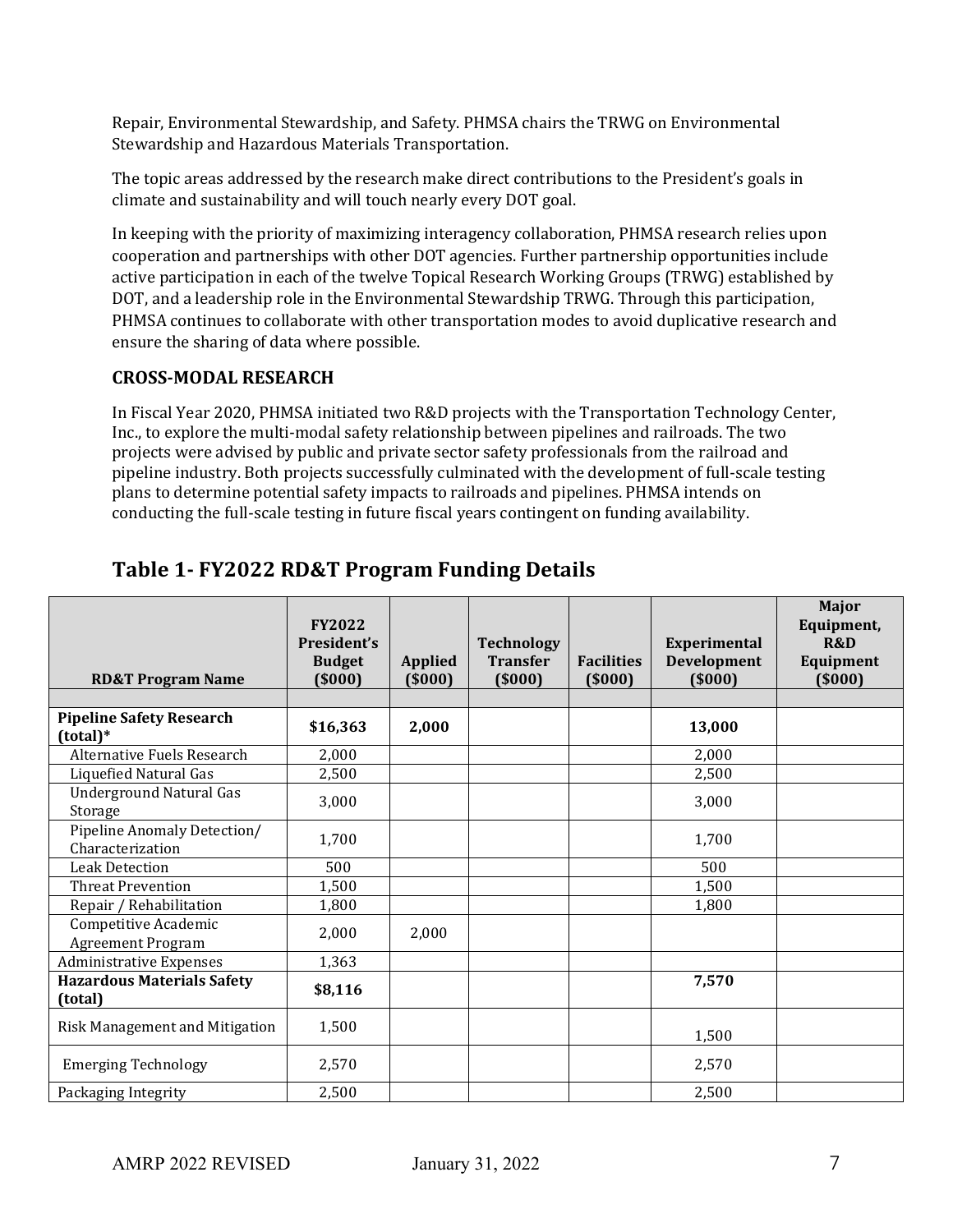Repair, Environmental Stewardship, and Safety. PHMSA chairs the TRWG on Environmental Stewardship and Hazardous Materials Transportation.

The topic areas addressed by the research make direct contributions to the President's goals in climate and sustainability and will touch nearly every DOT goal.

In keeping with the priority of maximizing interagency collaboration, PHMSA research relies upon cooperation and partnerships with other DOT agencies. Further partnership opportunities include active participation in each of the twelve Topical Research Working Groups (TRWG) established by DOT, and a leadership role in the Environmental Stewardship TRWG. Through this participation, PHMSA continues to collaborate with other transportation modes to avoid duplicative research and ensure the sharing of data where possible.

### **CROSS-MODAL RESEARCH**

In Fiscal Year 2020, PHMSA initiated two R&D projects with the Transportation Technology Center, Inc., to explore the multi-modal safety relationship between pipelines and railroads. The two projects were advised by public and private sector safety professionals from the railroad and pipeline industry. Both projects successfully culminated with the development of full-scale testing plans to determine potential safety impacts to railroads and pipelines. PHMSA intends on conducting the full-scale testing in future fiscal years contingent on funding availability.

| <b>RD&amp;T Program Name</b>                     | <b>FY2022</b><br>President's<br><b>Budget</b><br>(5000) | <b>Applied</b><br>(5000) | <b>Technology</b><br><b>Transfer</b><br>(5000) | <b>Facilities</b><br>(5000) | Experimental<br><b>Development</b><br>(5000) | <b>Major</b><br>Equipment,<br><b>R&amp;D</b><br>Equipment<br>(5000) |
|--------------------------------------------------|---------------------------------------------------------|--------------------------|------------------------------------------------|-----------------------------|----------------------------------------------|---------------------------------------------------------------------|
|                                                  |                                                         |                          |                                                |                             |                                              |                                                                     |
| <b>Pipeline Safety Research</b><br>(total)*      | \$16,363                                                | 2,000                    |                                                |                             | 13,000                                       |                                                                     |
| Alternative Fuels Research                       | 2,000                                                   |                          |                                                |                             | 2,000                                        |                                                                     |
| Liquefied Natural Gas                            | 2,500                                                   |                          |                                                |                             | 2,500                                        |                                                                     |
| <b>Underground Natural Gas</b><br>Storage        | 3,000                                                   |                          |                                                |                             | 3,000                                        |                                                                     |
| Pipeline Anomaly Detection/<br>Characterization  | 1,700                                                   |                          |                                                |                             | 1,700                                        |                                                                     |
| <b>Leak Detection</b>                            | 500                                                     |                          |                                                |                             | 500                                          |                                                                     |
| <b>Threat Prevention</b>                         | 1,500                                                   |                          |                                                |                             | 1,500                                        |                                                                     |
| Repair / Rehabilitation                          | 1,800                                                   |                          |                                                |                             | 1,800                                        |                                                                     |
| Competitive Academic<br><b>Agreement Program</b> | 2,000                                                   | 2,000                    |                                                |                             |                                              |                                                                     |
| <b>Administrative Expenses</b>                   | 1,363                                                   |                          |                                                |                             |                                              |                                                                     |
| <b>Hazardous Materials Safety</b><br>(total)     | \$8,116                                                 |                          |                                                |                             | 7,570                                        |                                                                     |
| Risk Management and Mitigation                   | 1,500                                                   |                          |                                                |                             | 1,500                                        |                                                                     |
| <b>Emerging Technology</b>                       | 2,570                                                   |                          |                                                |                             | 2,570                                        |                                                                     |
| Packaging Integrity                              | 2,500                                                   |                          |                                                |                             | 2,500                                        |                                                                     |

## **Table 1- FY2022 RD&T Program Funding Details**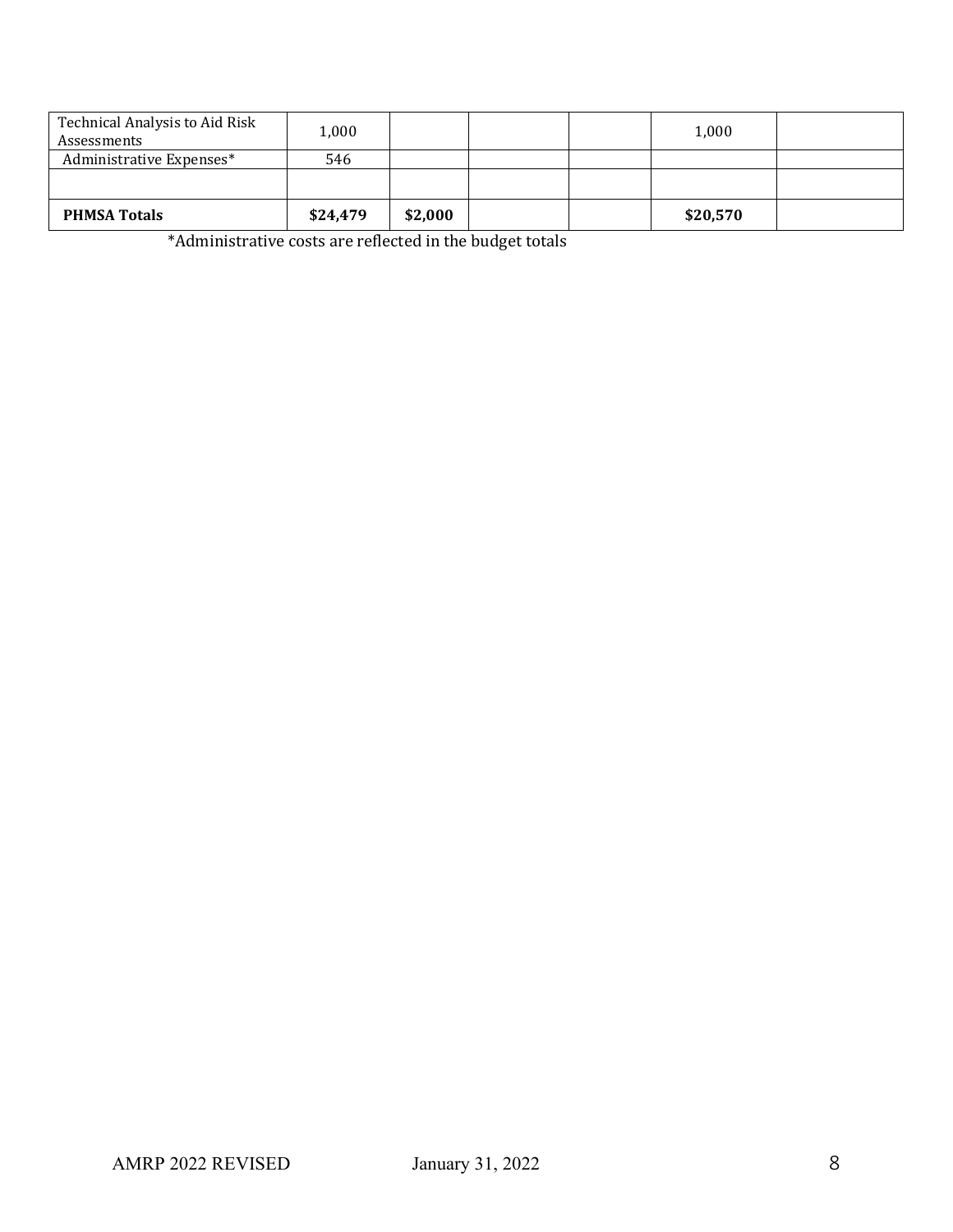| Technical Analysis to Aid Risk<br>Assessments | 1,000    |         |  | 1,000    |  |
|-----------------------------------------------|----------|---------|--|----------|--|
| Administrative Expenses*                      | 546      |         |  |          |  |
|                                               |          |         |  |          |  |
| <b>PHMSA Totals</b>                           | \$24,479 | \$2,000 |  | \$20,570 |  |

\*Administrative costs are reflected in the budget totals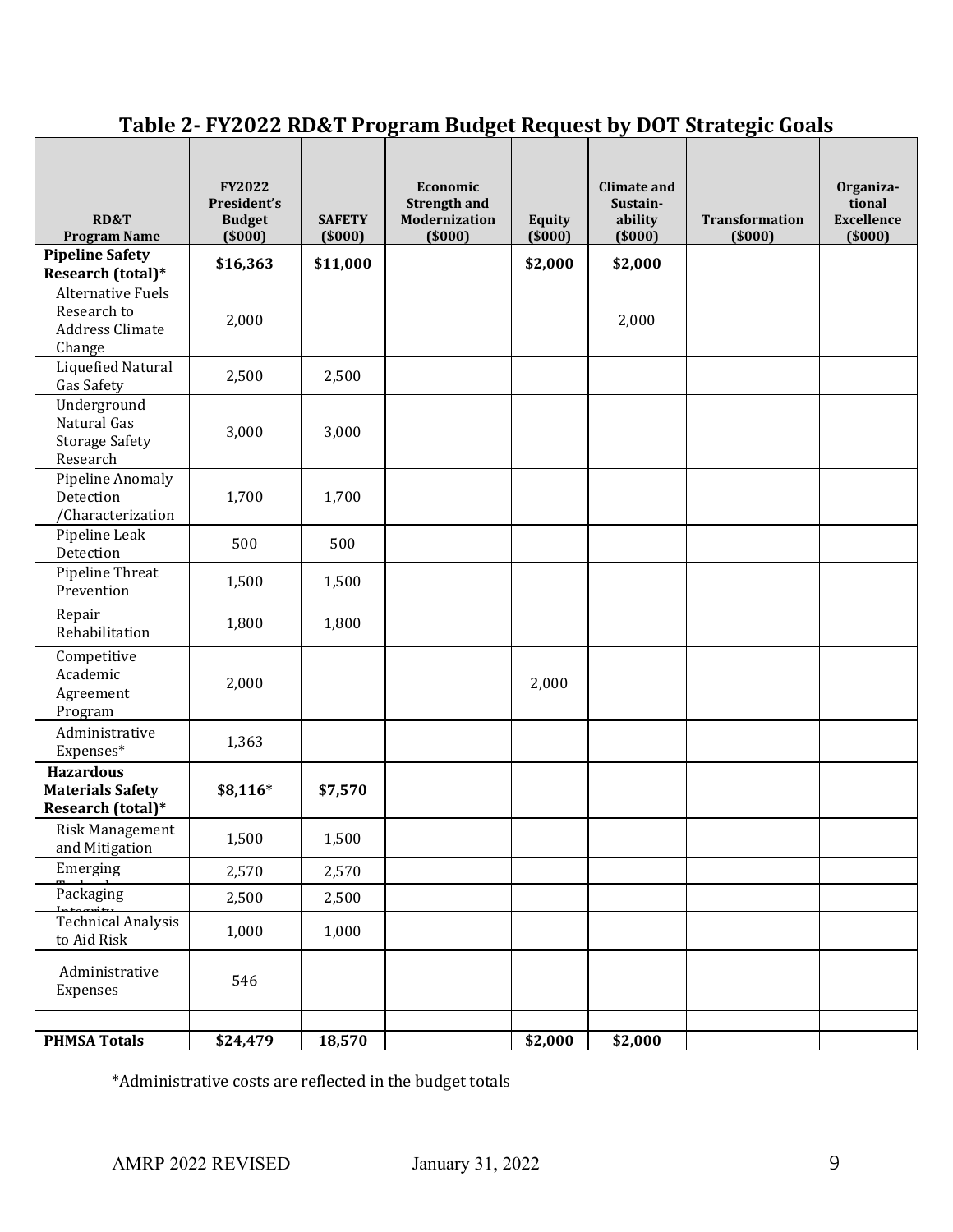# **Table 2- FY2022 RD&T Program Budget Request by DOT Strategic Goals**

| RD&T<br><b>Program Name</b>                                                 | <b>FY2022</b><br>President's<br><b>Budget</b><br>(5000) | <b>SAFETY</b><br>(5000) | Economic<br><b>Strength and</b><br>Modernization<br>(5000) | <b>Equity</b><br>(5000) | <b>Climate and</b><br>Sustain-<br>ability<br>(5000) | <b>Transformation</b><br>(5000) | Organiza-<br>tional<br><b>Excellence</b><br>(5000) |
|-----------------------------------------------------------------------------|---------------------------------------------------------|-------------------------|------------------------------------------------------------|-------------------------|-----------------------------------------------------|---------------------------------|----------------------------------------------------|
| <b>Pipeline Safety</b><br>Research (total)*                                 | \$16,363                                                | \$11,000                |                                                            | \$2,000                 | \$2,000                                             |                                 |                                                    |
| <b>Alternative Fuels</b><br>Research to<br><b>Address Climate</b><br>Change | 2,000                                                   |                         |                                                            |                         | 2,000                                               |                                 |                                                    |
| <b>Liquefied Natural</b><br>Gas Safety                                      | 2,500                                                   | 2,500                   |                                                            |                         |                                                     |                                 |                                                    |
| Underground<br>Natural Gas<br><b>Storage Safety</b><br>Research             | 3,000                                                   | 3,000                   |                                                            |                         |                                                     |                                 |                                                    |
| Pipeline Anomaly<br>Detection<br>/Characterization                          | 1,700                                                   | 1,700                   |                                                            |                         |                                                     |                                 |                                                    |
| Pipeline Leak<br>Detection                                                  | 500                                                     | 500                     |                                                            |                         |                                                     |                                 |                                                    |
| Pipeline Threat<br>Prevention                                               | 1,500                                                   | 1,500                   |                                                            |                         |                                                     |                                 |                                                    |
| Repair<br>Rehabilitation                                                    | 1,800                                                   | 1,800                   |                                                            |                         |                                                     |                                 |                                                    |
| Competitive<br>Academic<br>Agreement<br>Program                             | 2,000                                                   |                         |                                                            | 2,000                   |                                                     |                                 |                                                    |
| Administrative<br>Expenses*                                                 | 1,363                                                   |                         |                                                            |                         |                                                     |                                 |                                                    |
| <b>Hazardous</b><br><b>Materials Safety</b><br>Research (total)*            | \$8,116*                                                | \$7,570                 |                                                            |                         |                                                     |                                 |                                                    |
| <b>Risk Management</b><br>and Mitigation                                    | 1,500                                                   | 1,500                   |                                                            |                         |                                                     |                                 |                                                    |
| Emerging                                                                    | 2,570                                                   | 2,570                   |                                                            |                         |                                                     |                                 |                                                    |
| Packaging                                                                   | 2,500                                                   | 2,500                   |                                                            |                         |                                                     |                                 |                                                    |
| <b>Technical Analysis</b><br>to Aid Risk                                    | 1,000                                                   | 1,000                   |                                                            |                         |                                                     |                                 |                                                    |
| Administrative<br>Expenses                                                  | 546                                                     |                         |                                                            |                         |                                                     |                                 |                                                    |
| <b>PHMSA Totals</b>                                                         | \$24,479                                                | 18,570                  |                                                            | \$2,000                 | \$2,000                                             |                                 |                                                    |

\*Administrative costs are reflected in the budget totals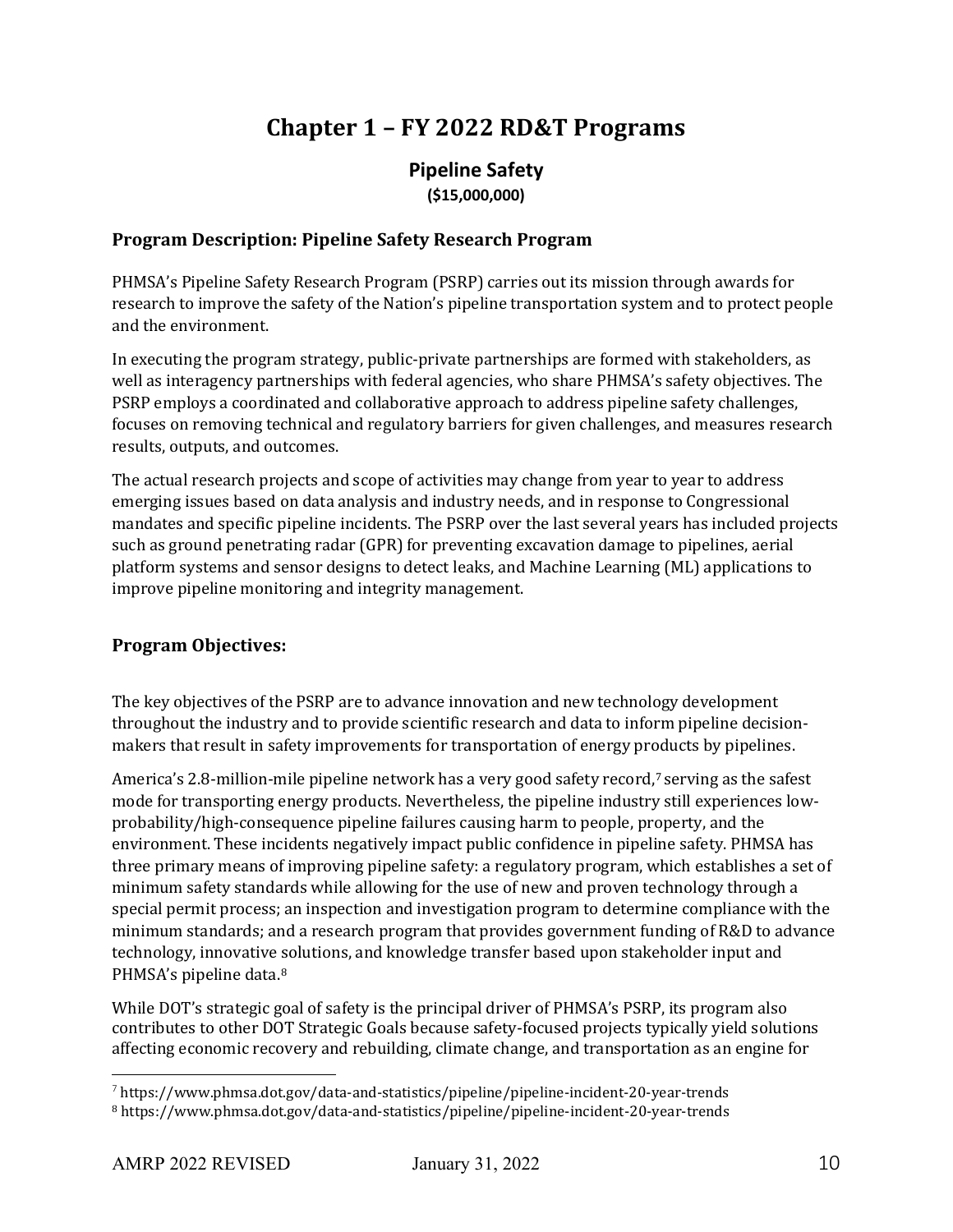# **Chapter 1 – FY 2022 RD&T Programs**

### **Pipeline Safety (\$15,000,000)**

### **Program Description: Pipeline Safety Research Program**

PHMSA's Pipeline Safety Research Program (PSRP) carries out its mission through awards for research to improve the safety of the Nation's pipeline transportation system and to protect people and the environment.

In executing the program strategy, public-private partnerships are formed with stakeholders, as well as interagency partnerships with federal agencies, who share PHMSA's safety objectives. The PSRP employs a coordinated and collaborative approach to address pipeline safety challenges, focuses on removing technical and regulatory barriers for given challenges, and measures research results, outputs, and outcomes.

The actual research projects and scope of activities may change from year to year to address emerging issues based on data analysis and industry needs, and in response to Congressional mandates and specific pipeline incidents. The PSRP over the last several years has included projects such as ground penetrating radar (GPR) for preventing excavation damage to pipelines, aerial platform systems and sensor designs to detect leaks, and Machine Learning (ML) applications to improve pipeline monitoring and integrity management.

#### **Program Objectives:**

The key objectives of the PSRP are to advance innovation and new technology development throughout the industry and to provide scientific research and data to inform pipeline decisionmakers that result in safety improvements for transportation of energy products by pipelines.

America's 2.8-million-mile pipeline network has a very good safety record,<sup>[7](#page-9-0)</sup> serving as the safest mode for transporting energy products. Nevertheless, the pipeline industry still experiences lowprobability/high-consequence pipeline failures causing harm to people, property, and the environment. These incidents negatively impact public confidence in pipeline safety. PHMSA has three primary means of improving pipeline safety: a regulatory program, which establishes a set of minimum safety standards while allowing for the use of new and proven technology through a special permit process; an inspection and investigation program to determine compliance with the minimum standards; and a research program that provides government funding of R&D to advance technology, innovative solutions, and knowledge transfer based upon stakeholder input and PHMSA's pipeline data.[8](#page-9-1)

While DOT's strategic goal of safety is the principal driver of PHMSA's PSRP, its program also contributes to other DOT Strategic Goals because safety-focused projects typically yield solutions affecting economic recovery and rebuilding, climate change, and transportation as an engine for

<span id="page-9-0"></span> $\frac{7}{7}$  https://www.phmsa.dot.gov/data-and-statistics/pipeline/pipeline-incident-20-year-trends

<span id="page-9-1"></span><sup>8</sup> https://www.phmsa.dot.gov/data-and-statistics/pipeline/pipeline-incident-20-year-trends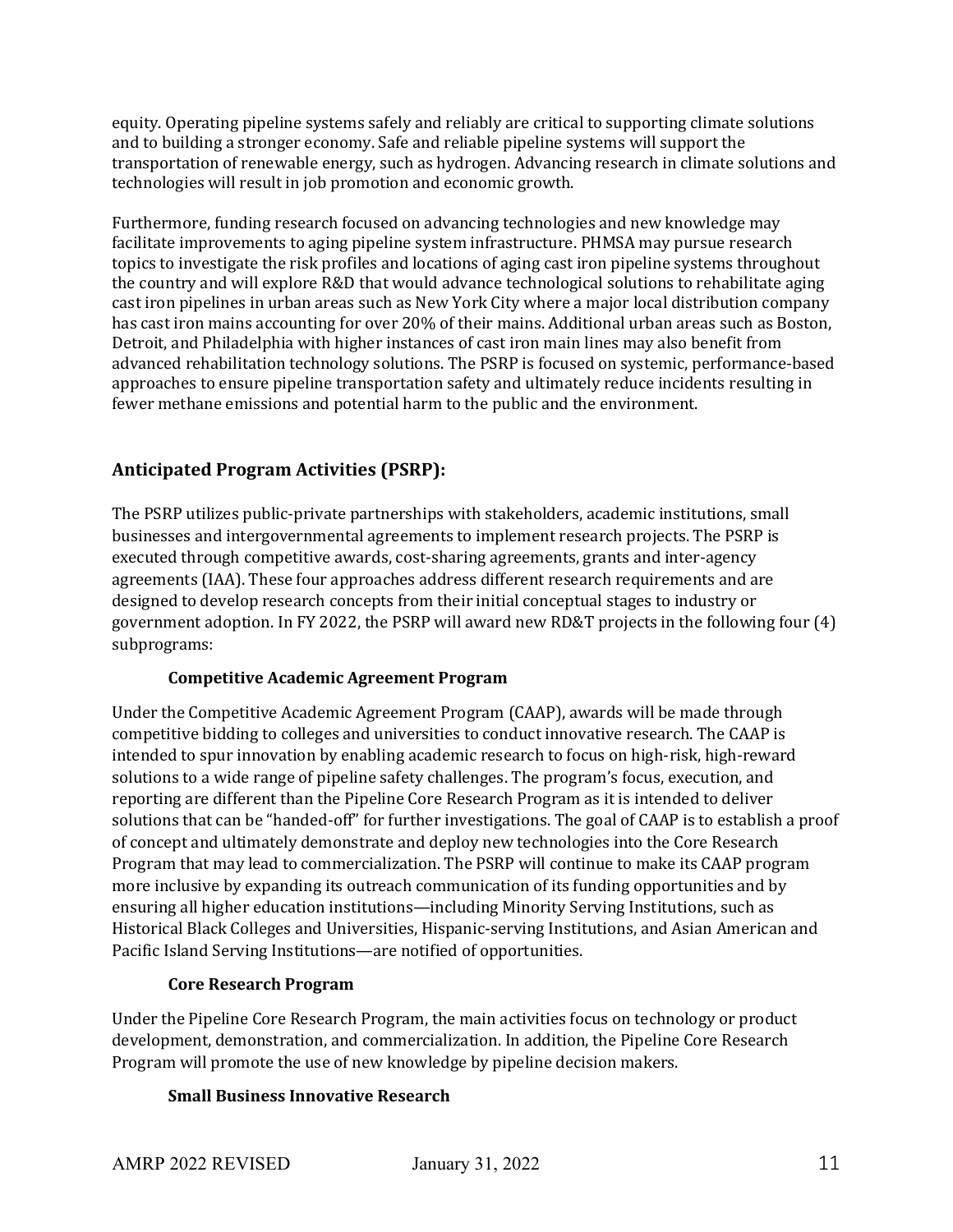equity. Operating pipeline systems safely and reliably are critical to supporting climate solutions and to building a stronger economy. Safe and reliable pipeline systems will support the transportation of renewable energy, such as hydrogen. Advancing research in climate solutions and technologies will result in job promotion and economic growth.

Furthermore, funding research focused on advancing technologies and new knowledge may facilitate improvements to aging pipeline system infrastructure. PHMSA may pursue research topics to investigate the risk profiles and locations of aging cast iron pipeline systems throughout the country and will explore R&D that would advance technological solutions to rehabilitate aging cast iron pipelines in urban areas such as New York City where a major local distribution company has cast iron mains accounting for over 20% of their mains. Additional urban areas such as Boston, Detroit, and Philadelphia with higher instances of cast iron main lines may also benefit from advanced rehabilitation technology solutions. The PSRP is focused on systemic, performance-based approaches to ensure pipeline transportation safety and ultimately reduce incidents resulting in fewer methane emissions and potential harm to the public and the environment.

### **Anticipated Program Activities (PSRP):**

The PSRP utilizes public-private partnerships with stakeholders, academic institutions, small businesses and intergovernmental agreements to implement research projects. The PSRP is executed through competitive awards, cost-sharing agreements, grants and inter-agency agreements (IAA). These four approaches address different research requirements and are designed to develop research concepts from their initial conceptual stages to industry or government adoption. In FY 2022, the PSRP will award new RD&T projects in the following four (4) subprograms:

#### **Competitive Academic Agreement Program**

Under the Competitive Academic Agreement Program (CAAP), awards will be made through competitive bidding to colleges and universities to conduct innovative research. The CAAP is intended to spur innovation by enabling academic research to focus on high-risk, high-reward solutions to a wide range of pipeline safety challenges. The program's focus, execution, and reporting are different than the Pipeline Core Research Program as it is intended to deliver solutions that can be "handed-off" for further investigations. The goal of CAAP is to establish a proof of concept and ultimately demonstrate and deploy new technologies into the Core Research Program that may lead to commercialization. The PSRP will continue to make its CAAP program more inclusive by expanding its outreach communication of its funding opportunities and by ensuring all higher education institutions—including Minority Serving Institutions, such as Historical Black Colleges and Universities, Hispanic-serving Institutions, and Asian American and Pacific Island Serving Institutions—are notified of opportunities.

#### **Core Research Program**

Under the Pipeline Core Research Program, the main activities focus on technology or product development, demonstration, and commercialization. In addition, the Pipeline Core Research Program will promote the use of new knowledge by pipeline decision makers.

#### **Small Business Innovative Research**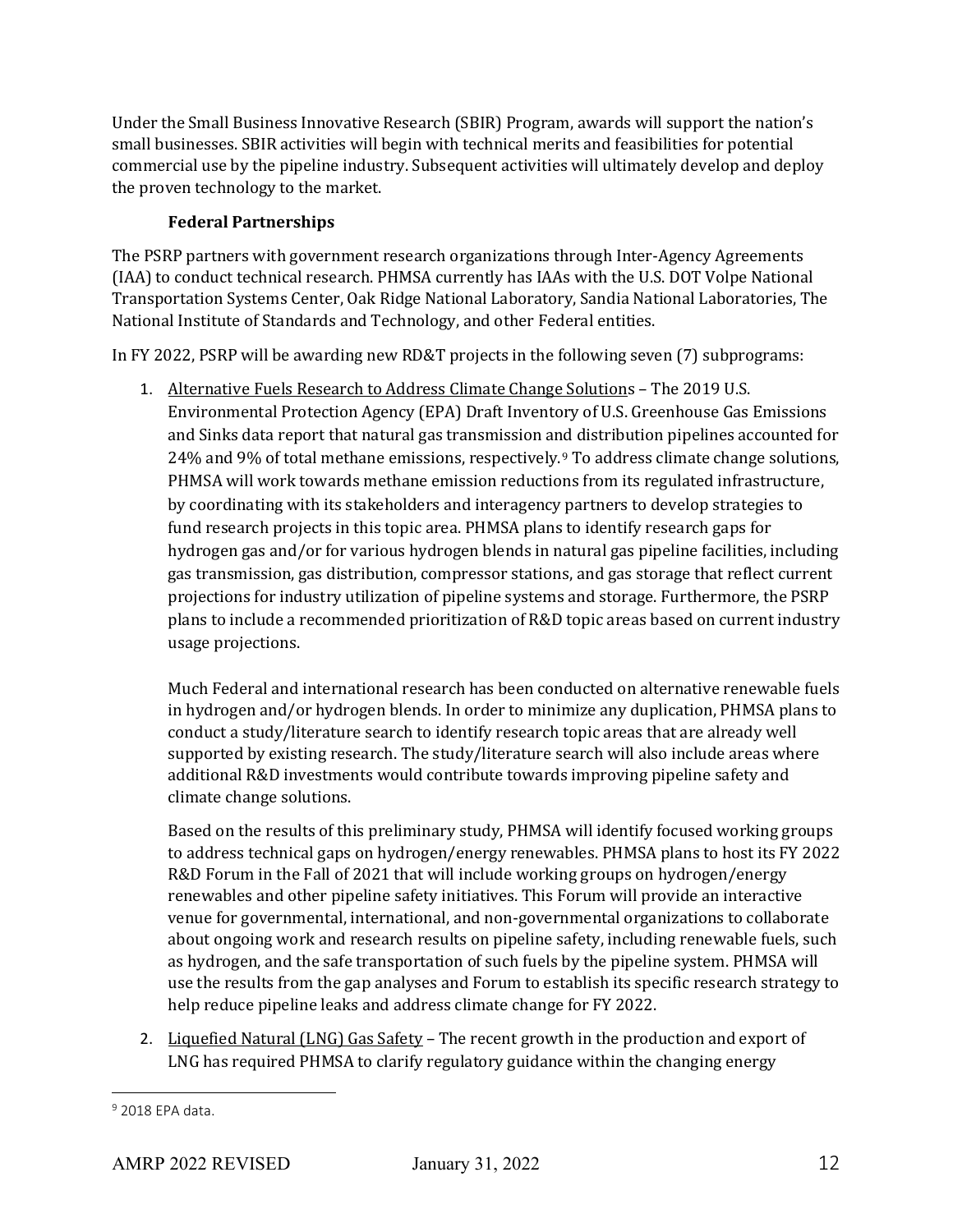Under the Small Business Innovative Research (SBIR) Program, awards will support the nation's small businesses. SBIR activities will begin with technical merits and feasibilities for potential commercial use by the pipeline industry. Subsequent activities will ultimately develop and deploy the proven technology to the market.

### **Federal Partnerships**

The PSRP partners with government research organizations through Inter-Agency Agreements (IAA) to conduct technical research. PHMSA currently has IAAs with the U.S. DOT Volpe National Transportation Systems Center, Oak Ridge National Laboratory, Sandia National Laboratories, The National Institute of Standards and Technology, and other Federal entities.

In FY 2022, PSRP will be awarding new RD&T projects in the following seven (7) subprograms:

1. Alternative Fuels Research to Address Climate Change Solutions – The 2019 U.S. Environmental Protection Agency (EPA) Draft Inventory of U.S. Greenhouse Gas Emissions and Sinks data report that natural gas transmission and distribution pipelines accounted for 24% and 9% of total methane emissions, respectively.[9](#page-11-0) To address climate change solutions, PHMSA will work towards methane emission reductions from its regulated infrastructure, by coordinating with its stakeholders and interagency partners to develop strategies to fund research projects in this topic area. PHMSA plans to identify research gaps for hydrogen gas and/or for various hydrogen blends in natural gas pipeline facilities, including gas transmission, gas distribution, compressor stations, and gas storage that reflect current projections for industry utilization of pipeline systems and storage. Furthermore, the PSRP plans to include a recommended prioritization of R&D topic areas based on current industry usage projections.

Much Federal and international research has been conducted on alternative renewable fuels in hydrogen and/or hydrogen blends. In order to minimize any duplication, PHMSA plans to conduct a study/literature search to identify research topic areas that are already well supported by existing research. The study/literature search will also include areas where additional R&D investments would contribute towards improving pipeline safety and climate change solutions.

Based on the results of this preliminary study, PHMSA will identify focused working groups to address technical gaps on hydrogen/energy renewables. PHMSA plans to host its FY 2022 R&D Forum in the Fall of 2021 that will include working groups on hydrogen/energy renewables and other pipeline safety initiatives. This Forum will provide an interactive venue for governmental, international, and non-governmental organizations to collaborate about ongoing work and research results on pipeline safety, including renewable fuels, such as hydrogen, and the safe transportation of such fuels by the pipeline system. PHMSA will use the results from the gap analyses and Forum to establish its specific research strategy to help reduce pipeline leaks and address climate change for FY 2022.

2. Liquefied Natural (LNG) Gas Safety – The recent growth in the production and export of LNG has required PHMSA to clarify regulatory guidance within the changing energy

<span id="page-11-0"></span> $9$  2018 FPA data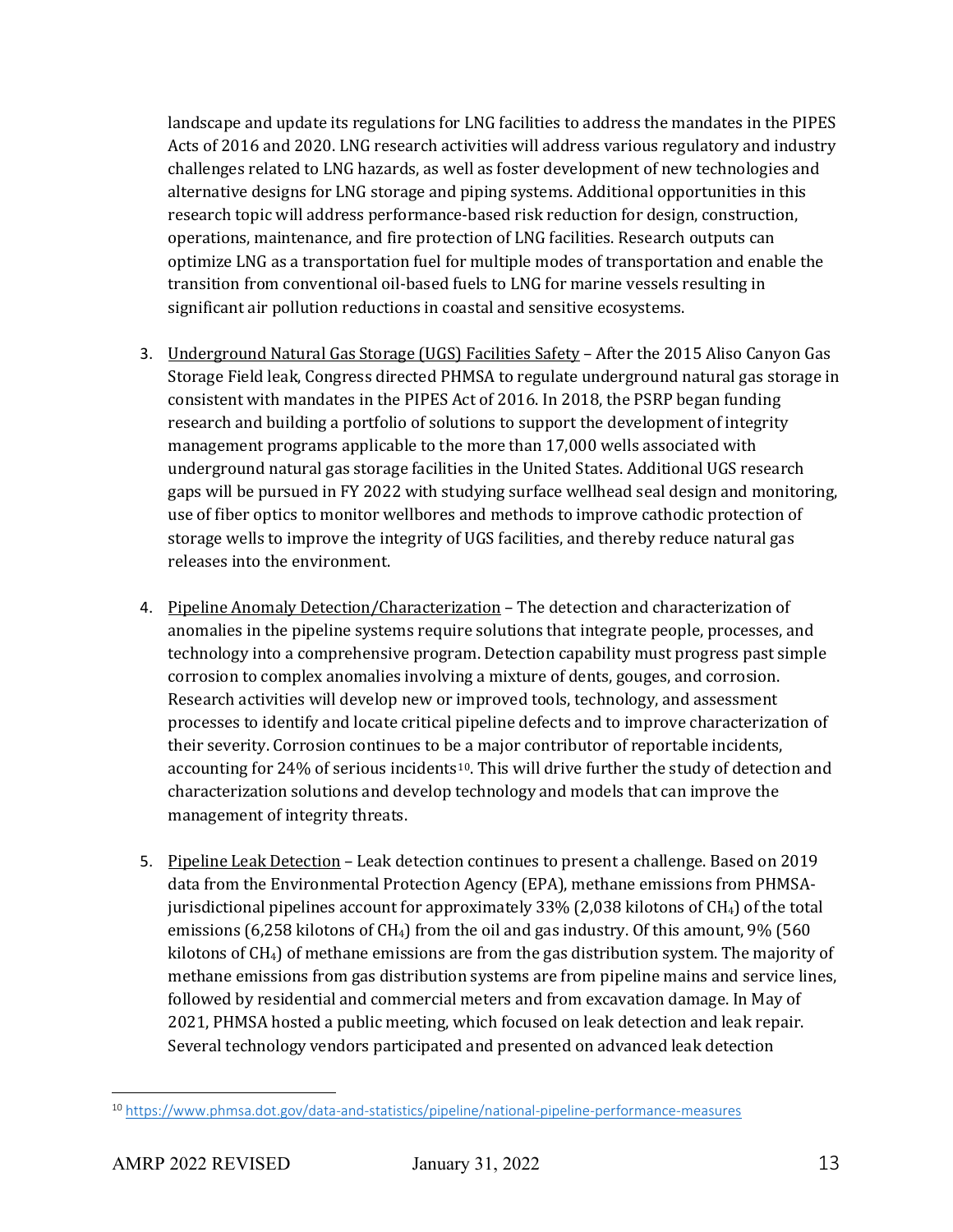landscape and update its regulations for LNG facilities to address the mandates in the PIPES Acts of 2016 and 2020. LNG research activities will address various regulatory and industry challenges related to LNG hazards, as well as foster development of new technologies and alternative designs for LNG storage and piping systems. Additional opportunities in this research topic will address performance-based risk reduction for design, construction, operations, maintenance, and fire protection of LNG facilities. Research outputs can optimize LNG as a transportation fuel for multiple modes of transportation and enable the transition from conventional oil-based fuels to LNG for marine vessels resulting in significant air pollution reductions in coastal and sensitive ecosystems.

- 3. Underground Natural Gas Storage (UGS) Facilities Safety After the 2015 Aliso Canyon Gas Storage Field leak, Congress directed PHMSA to regulate underground natural gas storage in consistent with mandates in the PIPES Act of 2016. In 2018, the PSRP began funding research and building a portfolio of solutions to support the development of integrity management programs applicable to the more than 17,000 wells associated with underground natural gas storage facilities in the United States. Additional UGS research gaps will be pursued in FY 2022 with studying surface wellhead seal design and monitoring, use of fiber optics to monitor wellbores and methods to improve cathodic protection of storage wells to improve the integrity of UGS facilities, and thereby reduce natural gas releases into the environment.
- 4. Pipeline Anomaly Detection/Characterization The detection and characterization of anomalies in the pipeline systems require solutions that integrate people, processes, and technology into a comprehensive program. Detection capability must progress past simple corrosion to complex anomalies involving a mixture of dents, gouges, and corrosion. Research activities will develop new or improved tools, technology, and assessment processes to identify and locate critical pipeline defects and to improve characterization of their severity. Corrosion continues to be a major contributor of reportable incidents, accounting for 24% of serious incidents<sup>10</sup>. This will drive further the study of detection and characterization solutions and develop technology and models that can improve the management of integrity threats.
- 5. Pipeline Leak Detection Leak detection continues to present a challenge. Based on 2019 data from the Environmental Protection Agency (EPA), methane emissions from PHMSAjurisdictional pipelines account for approximately 33% (2,038 kilotons of CH4) of the total emissions (6,258 kilotons of  $CH<sub>4</sub>$ ) from the oil and gas industry. Of this amount, 9% (560 kilotons of  $CH<sub>4</sub>$ ) of methane emissions are from the gas distribution system. The majority of methane emissions from gas distribution systems are from pipeline mains and service lines, followed by residential and commercial meters and from excavation damage. In May of 2021, PHMSA hosted a public meeting, which focused on leak detection and leak repair. Several technology vendors participated and presented on advanced leak detection

<span id="page-12-0"></span><sup>10</sup> <https://www.phmsa.dot.gov/data-and-statistics/pipeline/national-pipeline-performance-measures>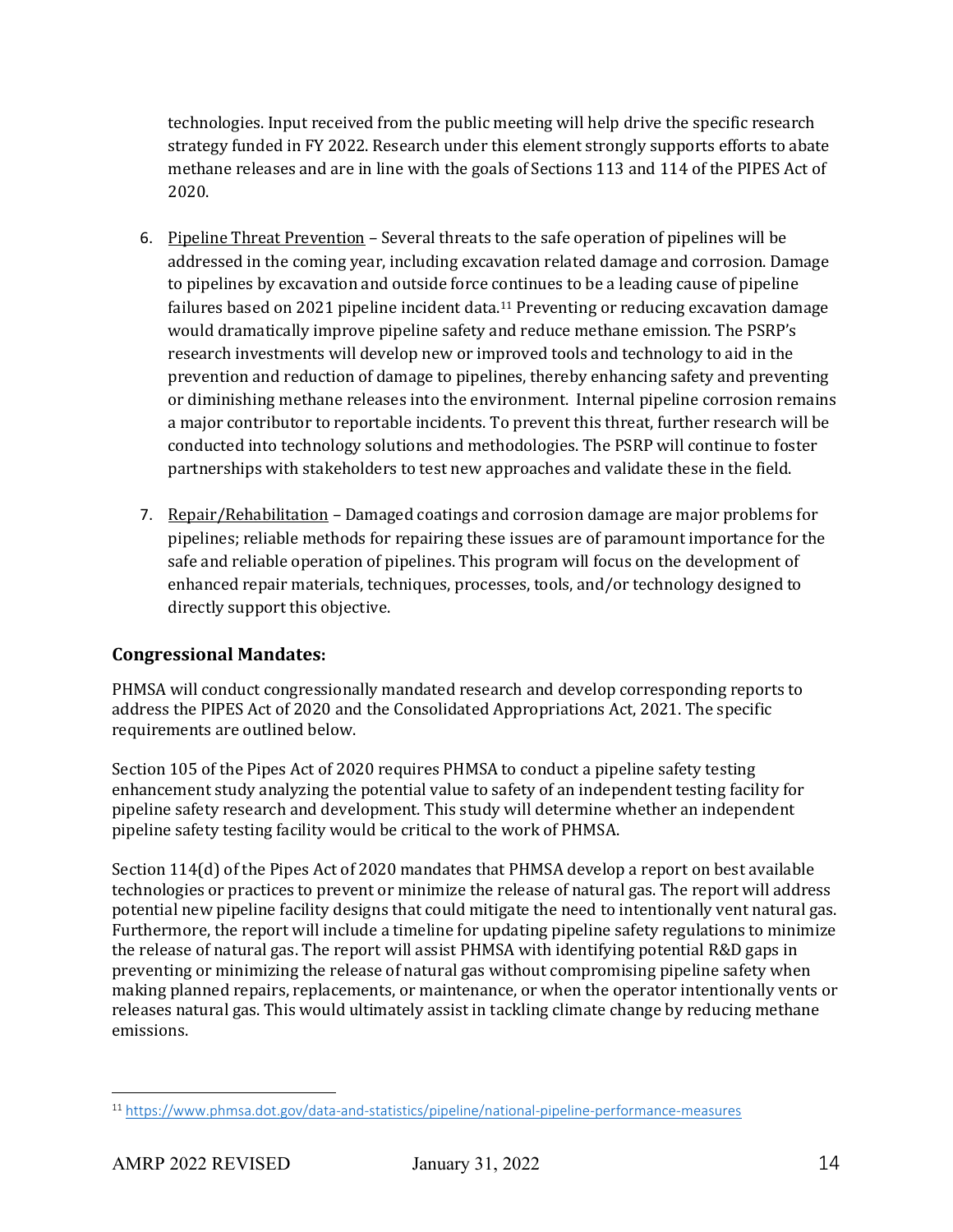technologies. Input received from the public meeting will help drive the specific research strategy funded in FY 2022. Research under this element strongly supports efforts to abate methane releases and are in line with the goals of Sections 113 and 114 of the PIPES Act of 2020.

- 6. Pipeline Threat Prevention Several threats to the safe operation of pipelines will be addressed in the coming year, including excavation related damage and corrosion. Damage to pipelines by excavation and outside force continues to be a leading cause of pipeline failures based on 2021 pipeline incident data.<sup>[11](#page-13-0)</sup> Preventing or reducing excavation damage would dramatically improve pipeline safety and reduce methane emission. The PSRP's research investments will develop new or improved tools and technology to aid in the prevention and reduction of damage to pipelines, thereby enhancing safety and preventing or diminishing methane releases into the environment. Internal pipeline corrosion remains a major contributor to reportable incidents. To prevent this threat, further research will be conducted into technology solutions and methodologies. The PSRP will continue to foster partnerships with stakeholders to test new approaches and validate these in the field.
- 7. Repair/Rehabilitation Damaged coatings and corrosion damage are major problems for pipelines; reliable methods for repairing these issues are of paramount importance for the safe and reliable operation of pipelines. This program will focus on the development of enhanced repair materials, techniques, processes, tools, and/or technology designed to directly support this objective.

### **Congressional Mandates:**

PHMSA will conduct congressionally mandated research and develop corresponding reports to address the PIPES Act of 2020 and the Consolidated Appropriations Act, 2021. The specific requirements are outlined below.

Section 105 of the Pipes Act of 2020 requires PHMSA to conduct a pipeline safety testing enhancement study analyzing the potential value to safety of an independent testing facility for pipeline safety research and development. This study will determine whether an independent pipeline safety testing facility would be critical to the work of PHMSA.

Section 114(d) of the Pipes Act of 2020 mandates that PHMSA develop a report on best available technologies or practices to prevent or minimize the release of natural gas. The report will address potential new pipeline facility designs that could mitigate the need to intentionally vent natural gas. Furthermore, the report will include a timeline for updating pipeline safety regulations to minimize the release of natural gas. The report will assist PHMSA with identifying potential R&D gaps in preventing or minimizing the release of natural gas without compromising pipeline safety when making planned repairs, replacements, or maintenance, or when the operator intentionally vents or releases natural gas. This would ultimately assist in tackling climate change by reducing methane emissions.

<span id="page-13-0"></span><sup>11</sup> <https://www.phmsa.dot.gov/data-and-statistics/pipeline/national-pipeline-performance-measures>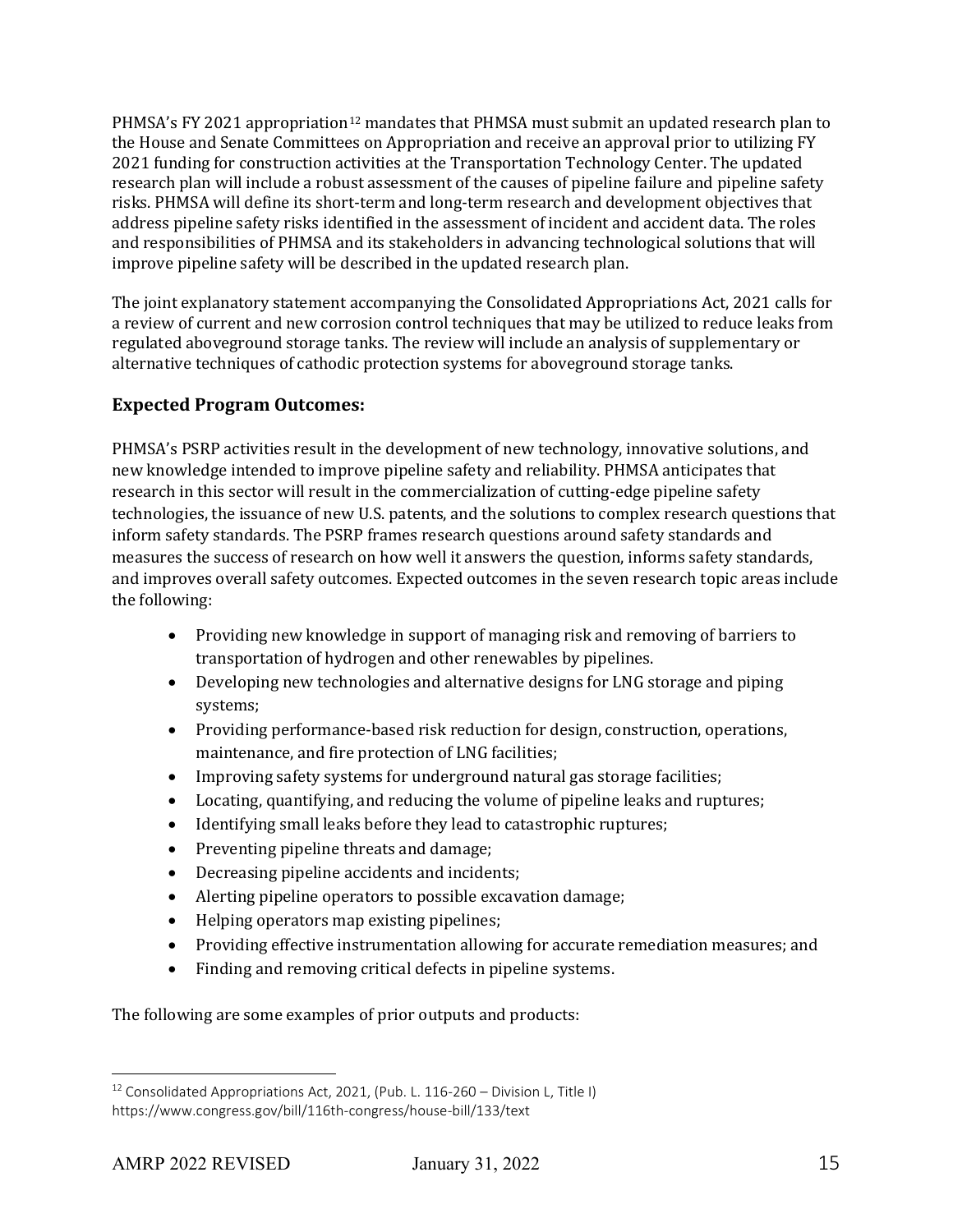PHMSA's FY 2021 appropriation<sup>[12](#page-14-0)</sup> mandates that PHMSA must submit an updated research plan to the House and Senate Committees on Appropriation and receive an approval prior to utilizing FY 2021 funding for construction activities at the Transportation Technology Center. The updated research plan will include a robust assessment of the causes of pipeline failure and pipeline safety risks. PHMSA will define its short-term and long-term research and development objectives that address pipeline safety risks identified in the assessment of incident and accident data. The roles and responsibilities of PHMSA and its stakeholders in advancing technological solutions that will improve pipeline safety will be described in the updated research plan.

The joint explanatory statement accompanying the Consolidated Appropriations Act, 2021 calls for a review of current and new corrosion control techniques that may be utilized to reduce leaks from regulated aboveground storage tanks. The review will include an analysis of supplementary or alternative techniques of cathodic protection systems for aboveground storage tanks.

### **Expected Program Outcomes:**

PHMSA's PSRP activities result in the development of new technology, innovative solutions, and new knowledge intended to improve pipeline safety and reliability. PHMSA anticipates that research in this sector will result in the commercialization of cutting-edge pipeline safety technologies, the issuance of new U.S. patents, and the solutions to complex research questions that inform safety standards. The PSRP frames research questions around safety standards and measures the success of research on how well it answers the question, informs safety standards, and improves overall safety outcomes. Expected outcomes in the seven research topic areas include the following:

- Providing new knowledge in support of managing risk and removing of barriers to transportation of hydrogen and other renewables by pipelines.
- Developing new technologies and alternative designs for LNG storage and piping systems;
- Providing performance-based risk reduction for design, construction, operations, maintenance, and fire protection of LNG facilities;
- Improving safety systems for underground natural gas storage facilities;
- Locating, quantifying, and reducing the volume of pipeline leaks and ruptures;
- Identifying small leaks before they lead to catastrophic ruptures;
- Preventing pipeline threats and damage;
- Decreasing pipeline accidents and incidents;
- Alerting pipeline operators to possible excavation damage;
- Helping operators map existing pipelines;
- Providing effective instrumentation allowing for accurate remediation measures; and
- Finding and removing critical defects in pipeline systems.

The following are some examples of prior outputs and products:

<span id="page-14-0"></span><sup>&</sup>lt;sup>12</sup> Consolidated Appropriations Act, 2021, (Pub. L. 116-260 – Division L, Title I) https://www.congress.gov/bill/116th-congress/house-bill/133/text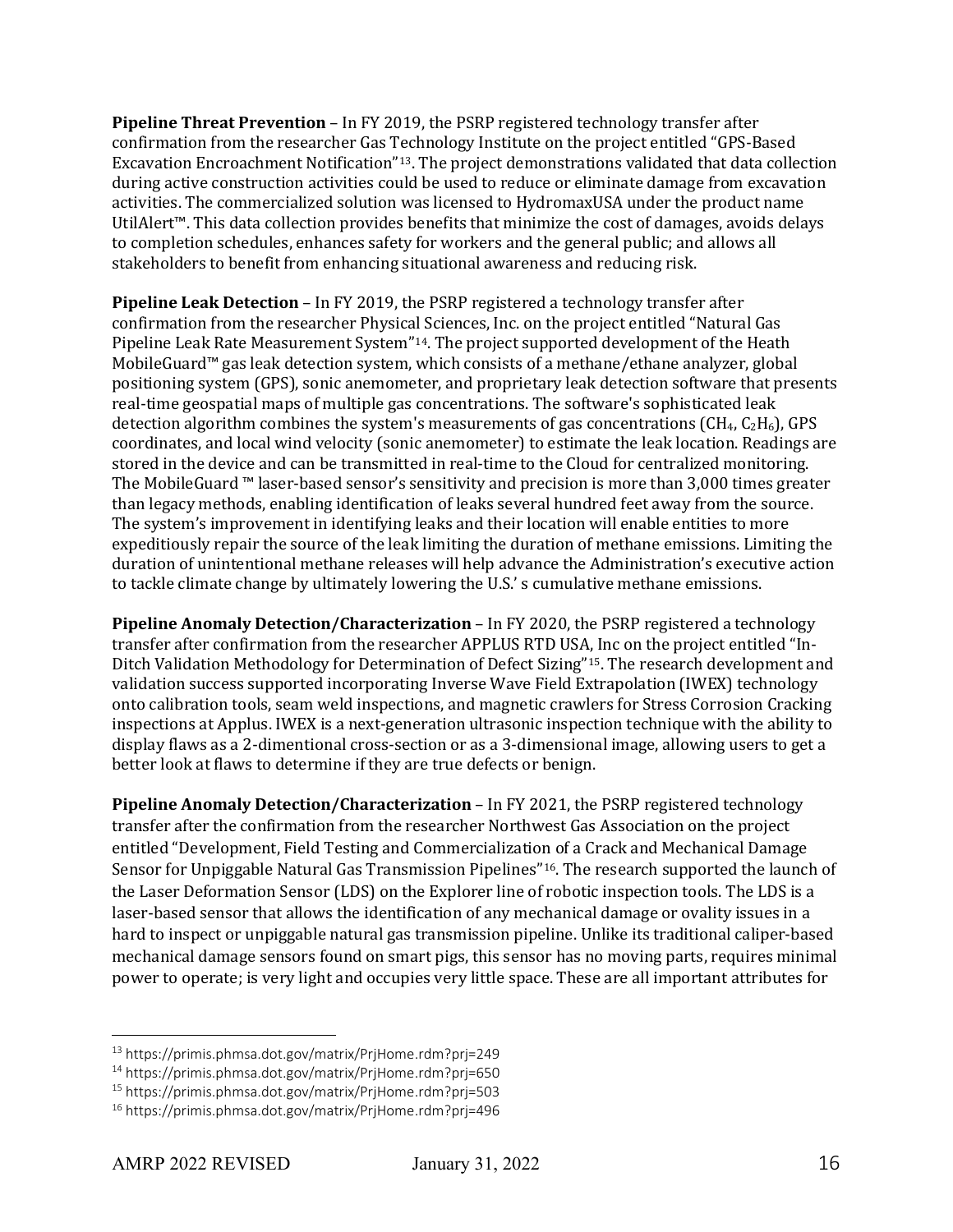**Pipeline Threat Prevention** – In FY 2019, the PSRP registered technology transfer after confirmation from the researcher Gas Technology Institute on the project entitled "GPS-Based Excavation Encroachment Notification"[13.](#page-15-0) The project demonstrations validated that data collection during active construction activities could be used to reduce or eliminate damage from excavation activities. The commercialized solution was licensed to HydromaxUSA under the product name UtilAlert™. This data collection provides benefits that minimize the cost of damages, avoids delays to completion schedules, enhances safety for workers and the general public; and allows all stakeholders to benefit from enhancing situational awareness and reducing risk.

**Pipeline Leak Detection** – In FY 2019, the PSRP registered a technology transfer after confirmation from the researcher Physical Sciences, Inc. on the project entitled ["Natural Gas](https://primis.phmsa.dot.gov/matrix/PrjHome.rdm?prj=650)  [Pipeline Leak Rate Measurement System"](https://primis.phmsa.dot.gov/matrix/PrjHome.rdm?prj=650)[14.](#page-15-1) The project supported development of the Heath MobileGuard™ gas leak detection system, which consists of a methane/ethane analyzer, global positioning system (GPS), sonic anemometer, and proprietary leak detection software that presents real-time geospatial maps of multiple gas concentrations. The software's sophisticated leak detection algorithm combines the system's measurements of gas concentrations ( $CH_4$ ,  $C_2H_6$ ), GPS coordinates, and local wind velocity (sonic anemometer) to estimate the leak location. Readings are stored in the device and can be transmitted in real-time to the Cloud for centralized monitoring. The MobileGuard ™ laser-based sensor's sensitivity and precision is more than 3,000 times greater than legacy methods, enabling identification of leaks several hundred feet away from the source. The system's improvement in identifying leaks and their location will enable entities to more expeditiously repair the source of the leak limiting the duration of methane emissions. Limiting the duration of unintentional methane releases will help advance the Administration's executive action to tackle climate change by ultimately lowering the U.S.' s cumulative methane emissions.

**Pipeline Anomaly Detection/Characterization** – In FY 2020, the PSRP registered a technology transfer after confirmation from the researcher APPLUS RTD USA, Inc on the project entitled "In-Ditch Validation Methodology for Determination of Defect Sizing"[15](#page-15-2). The research development and validation success supported incorporating Inverse Wave Field Extrapolation (IWEX) technology onto calibration tools, seam weld inspections, and magnetic crawlers for Stress Corrosion Cracking inspections at Applus. IWEX is a next-generation ultrasonic inspection technique with the ability to display flaws as a 2-dimentional cross-section or as a 3-dimensional image, allowing users to get a better look at flaws to determine if they are true defects or benign.

**Pipeline Anomaly Detection/Characterization** – In FY 2021, the PSRP registered technology transfer after the confirmation from the researcher Northwest Gas Association on the project entitled ["Development, Field Testing and Commercialization of a Crack and Mechanical Damage](https://primis.phmsa.dot.gov/matrix/PrjHome.rdm?prj=496)  [Sensor for Unpiggable Natural Gas Transmission Pipelines"](https://primis.phmsa.dot.gov/matrix/PrjHome.rdm?prj=496)[16](#page-15-3). The research supported the launch of the Laser Deformation Sensor (LDS) on the Explorer line of robotic inspection tools. The LDS is a laser-based sensor that allows the identification of any mechanical damage or ovality issues in a hard to inspect or unpiggable natural gas transmission pipeline. Unlike its traditional caliper-based mechanical damage sensors found on smart pigs, this sensor has no moving parts, requires minimal power to operate; is very light and occupies very little space. These are all important attributes for

<span id="page-15-0"></span><sup>13</sup> https://primis.phmsa.dot.gov/matrix/PrjHome.rdm?prj=249

<span id="page-15-1"></span><sup>14</sup> https://primis.phmsa.dot.gov/matrix/PrjHome.rdm?prj=650

<span id="page-15-2"></span><sup>15</sup> https://primis.phmsa.dot.gov/matrix/PrjHome.rdm?prj=503

<span id="page-15-3"></span><sup>16</sup> https://primis.phmsa.dot.gov/matrix/PrjHome.rdm?prj=496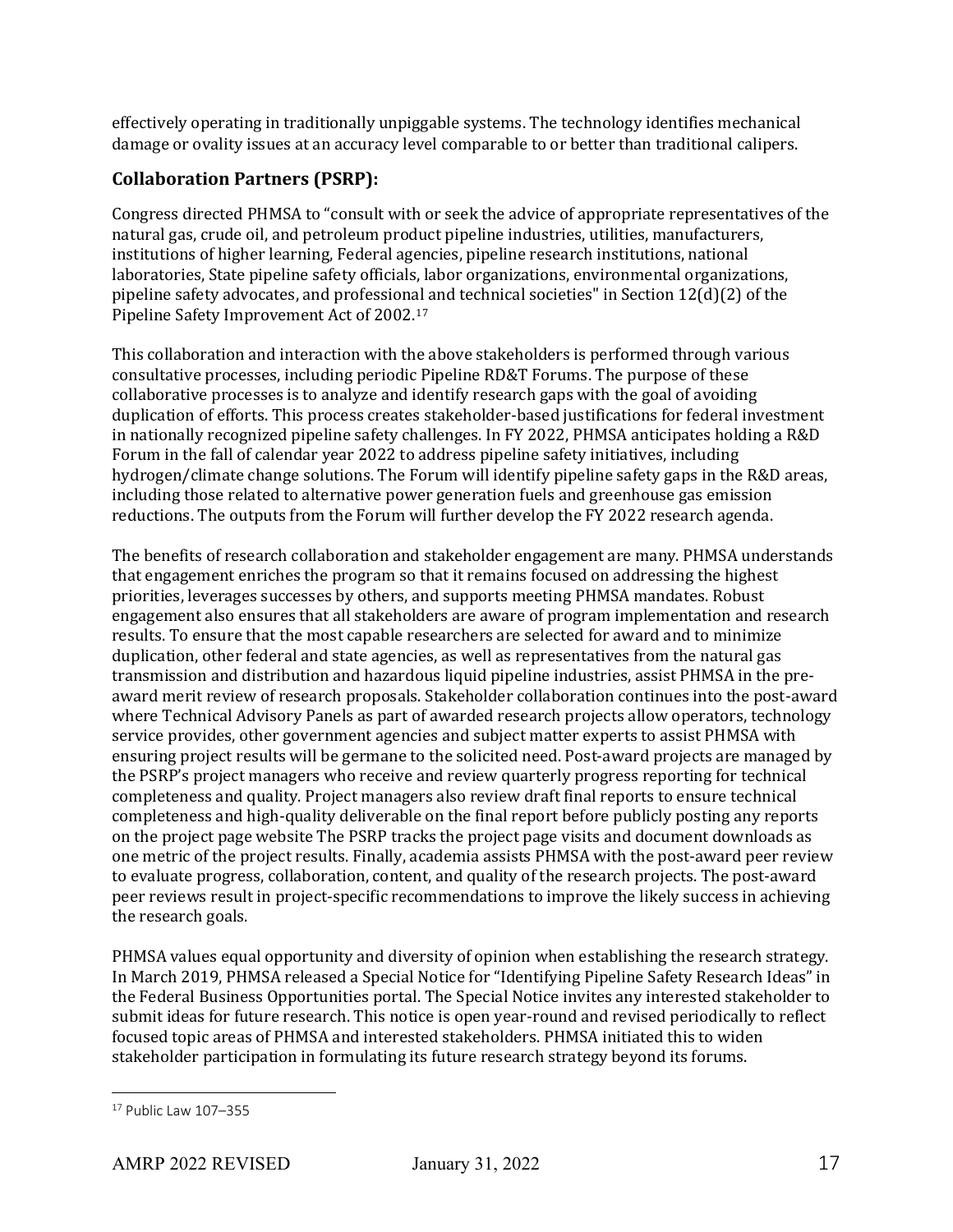effectively operating in traditionally unpiggable systems. The technology identifies mechanical damage or ovality issues at an accuracy level comparable to or better than traditional calipers.

### **Collaboration Partners (PSRP):**

Congress directed PHMSA to "consult with or seek the advice of appropriate representatives of the natural gas, crude oil, and petroleum product pipeline industries, utilities, manufacturers, institutions of higher learning, Federal agencies, pipeline research institutions, national laboratories, State pipeline safety officials, labor organizations, environmental organizations, pipeline safety advocates, and professional and technical societies" in Section 12(d)(2) of the Pipeline Safety Improvement Act of 2002.[17](#page-16-0)

This collaboration and interaction with the above stakeholders is performed through various consultative processes, including periodic Pipeline RD&T Forums. The purpose of these collaborative processes is to analyze and identify research gaps with the goal of avoiding duplication of efforts. This process creates stakeholder-based justifications for federal investment in nationally recognized pipeline safety challenges. In FY 2022, PHMSA anticipates holding a R&D Forum in the fall of calendar year 2022 to address pipeline safety initiatives, including hydrogen/climate change solutions. The Forum will identify pipeline safety gaps in the R&D areas, including those related to alternative power generation fuels and greenhouse gas emission reductions. The outputs from the Forum will further develop the FY 2022 research agenda.

The benefits of research collaboration and stakeholder engagement are many. PHMSA understands that engagement enriches the program so that it remains focused on addressing the highest priorities, leverages successes by others, and supports meeting PHMSA mandates. Robust engagement also ensures that all stakeholders are aware of program implementation and research results. To ensure that the most capable researchers are selected for award and to minimize duplication, other federal and state agencies, as well as representatives from the natural gas transmission and distribution and hazardous liquid pipeline industries, assist PHMSA in the preaward merit review of research proposals. Stakeholder collaboration continues into the post-award where Technical Advisory Panels as part of awarded research projects allow operators, technology service provides, other government agencies and subject matter experts to assist PHMSA with ensuring project results will be germane to the solicited need. Post-award projects are managed by the PSRP's project managers who receive and review quarterly progress reporting for technical completeness and quality. Project managers also review draft final reports to ensure technical completeness and high-quality deliverable on the final report before publicly posting any reports on the project page website The PSRP tracks the project page visits and document downloads as one metric of the project results. Finally, academia assists PHMSA with the post-award peer review to evaluate progress, collaboration, content, and quality of the research projects. The post-award peer reviews result in project-specific recommendations to improve the likely success in achieving the research goals.

PHMSA values equal opportunity and diversity of opinion when establishing the research strategy. In March 2019, PHMSA released a Special Notice for "Identifying Pipeline Safety Research Ideas" in the Federal Business Opportunities portal. The Special Notice invites any interested stakeholder to submit ideas for future research. This notice is open year-round and revised periodically to reflect focused topic areas of PHMSA and interested stakeholders. PHMSA initiated this to widen stakeholder participation in formulating its future research strategy beyond its forums.

<span id="page-16-0"></span><sup>17</sup> Public Law 107–355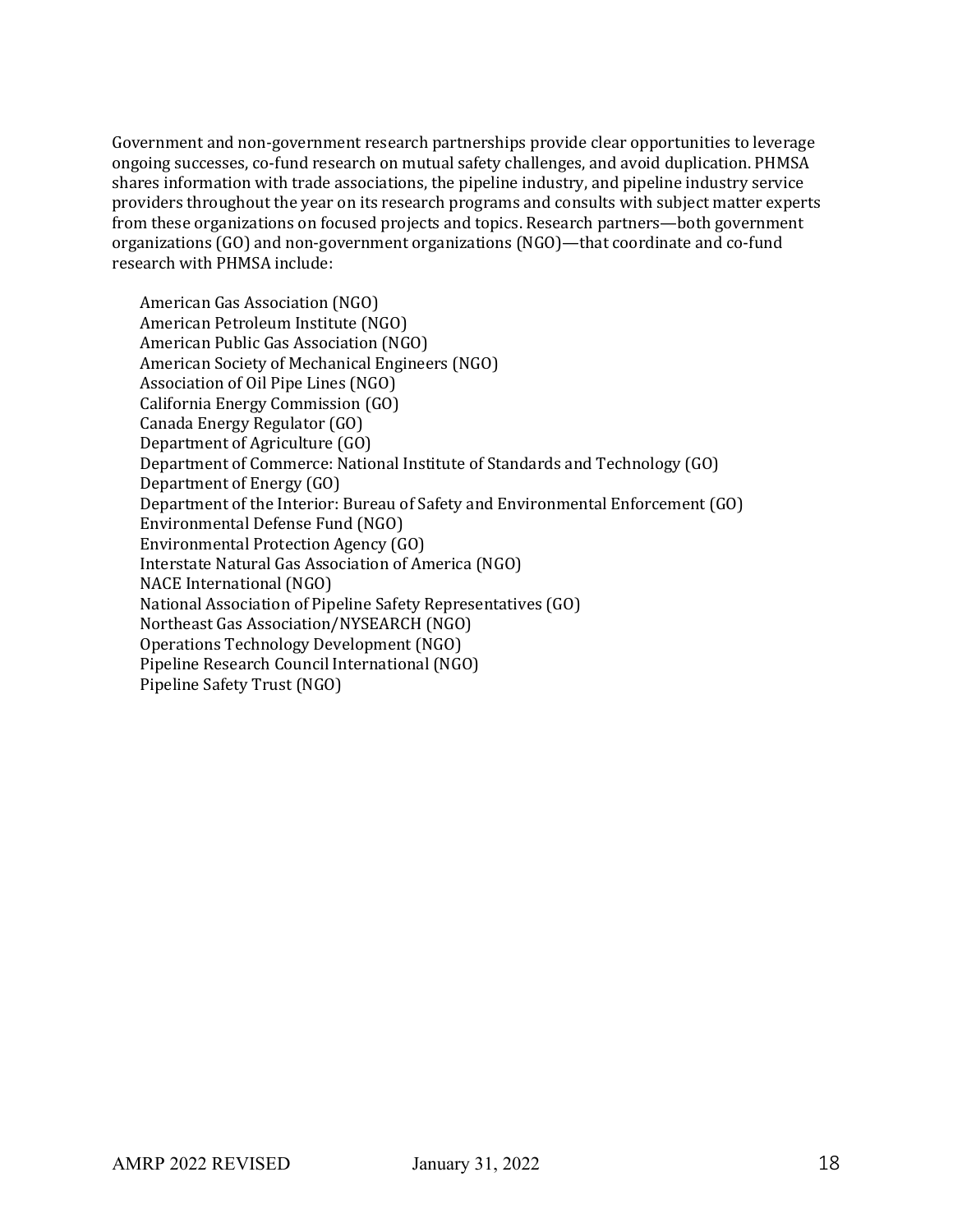Government and non-government research partnerships provide clear opportunities to leverage ongoing successes, co-fund research on mutual safety challenges, and avoid duplication. PHMSA shares information with trade associations, the pipeline industry, and pipeline industry service providers throughout the year on its research programs and consults with subject matter experts from these organizations on focused projects and topics. Research partners—both government organizations (GO) and non-government organizations (NGO)—that coordinate and co-fund research with PHMSA include:

American Gas Association (NGO) American Petroleum Institute (NGO) American Public Gas Association (NGO) American Society of Mechanical Engineers (NGO) Association of Oil Pipe Lines (NGO) California Energy Commission (GO) Canada Energy Regulator (GO) Department of Agriculture (GO) Department of Commerce: National Institute of Standards and Technology (GO) Department of Energy (GO) Department of the Interior: Bureau of Safety and Environmental Enforcement (GO) Environmental Defense Fund (NGO) Environmental Protection Agency (GO) Interstate Natural Gas Association of America (NGO) NACE International (NGO) National Association of Pipeline Safety Representatives (GO) Northeast Gas Association/NYSEARCH (NGO) Operations Technology Development (NGO) Pipeline Research Council International (NGO) Pipeline Safety Trust (NGO)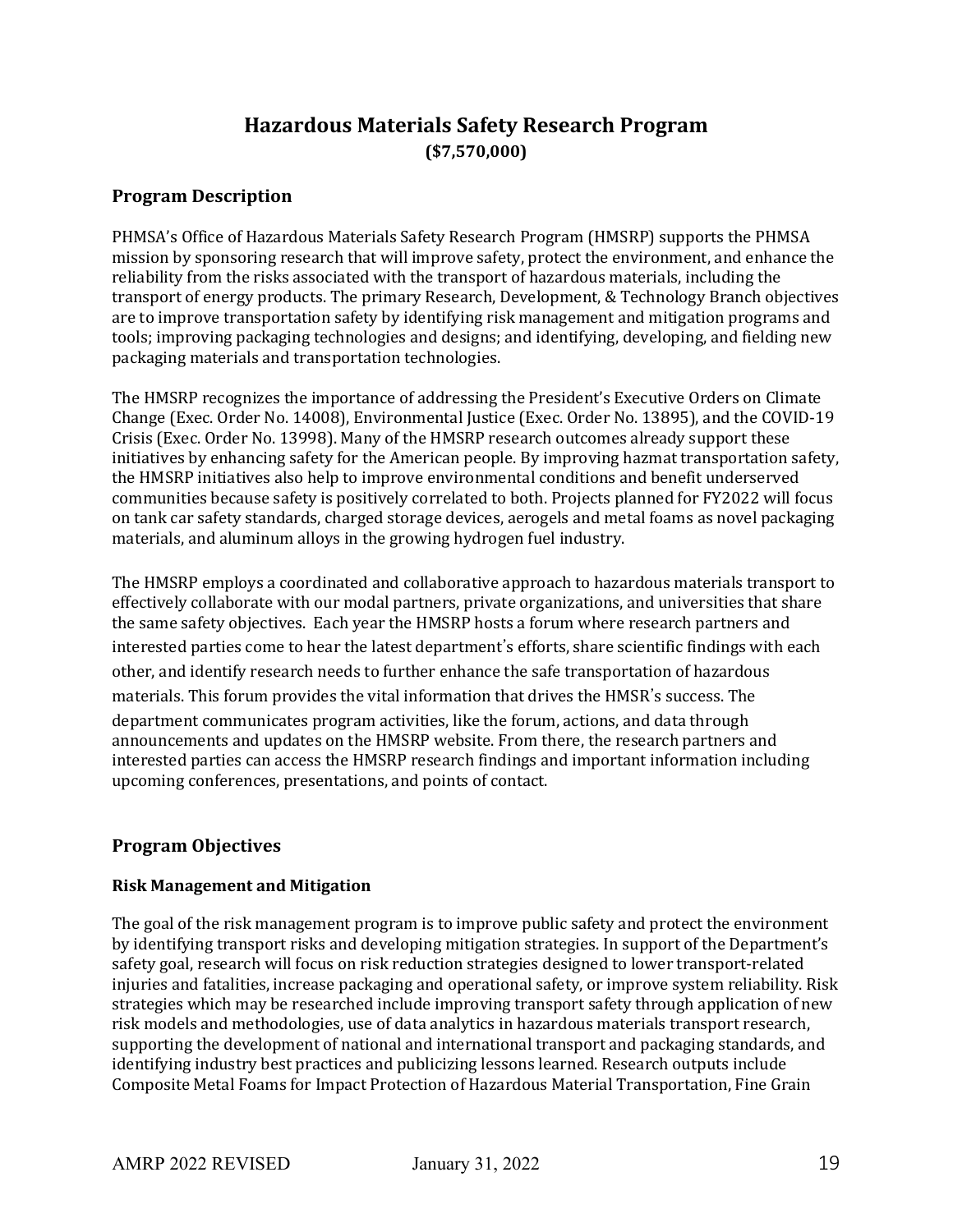## **Hazardous Materials Safety Research Program (\$7,570,000)**

### **Program Description**

PHMSA's Office of Hazardous Materials Safety Research Program (HMSRP) supports the PHMSA mission by sponsoring research that will improve safety, protect the environment, and enhance the reliability from the risks associated with the transport of hazardous materials, including the transport of energy products. The primary Research, Development, & Technology Branch objectives are to improve transportation safety by identifying risk management and mitigation programs and tools; improving packaging technologies and designs; and identifying, developing, and fielding new packaging materials and transportation technologies.

The HMSRP recognizes the importance of addressing the President's Executive Orders on Climate Change (Exec. Order No. 14008), Environmental Justice (Exec. Order No. 13895), and the COVID-19 Crisis (Exec. Order No. 13998). Many of the HMSRP research outcomes already support these initiatives by enhancing safety for the American people. By improving hazmat transportation safety, the HMSRP initiatives also help to improve environmental conditions and benefit underserved communities because safety is positively correlated to both. Projects planned for FY2022 will focus on tank car safety standards, charged storage devices, aerogels and metal foams as novel packaging materials, and aluminum alloys in the growing hydrogen fuel industry.

The HMSRP employs a coordinated and collaborative approach to hazardous materials transport to effectively collaborate with our modal partners, private organizations, and universities that share the same safety objectives. Each year the HMSRP hosts a forum where research partners and interested parties come to hear the latest department's efforts, share scientific findings with each other, and identify research needs to further enhance the safe transportation of hazardous materials. This forum provides the vital information that drives the HMSR's success. The department communicates program activities, like the forum, actions, and data through announcements and updates on the HMSRP website. From there, the research partners and interested parties can access the HMSRP research findings and important information including upcoming conferences, presentations, and points of contact.

#### **Program Objectives**

#### **Risk Management and Mitigation**

The goal of the risk management program is to improve public safety and protect the environment by identifying transport risks and developing mitigation strategies. In support of the Department's safety goal, research will focus on risk reduction strategies designed to lower transport-related injuries and fatalities, increase packaging and operational safety, or improve system reliability. Risk strategies which may be researched include improving transport safety through application of new risk models and methodologies, use of data analytics in hazardous materials transport research, supporting the development of national and international transport and packaging standards, and identifying industry best practices and publicizing lessons learned. Research outputs include Composite Metal Foams for Impact Protection of Hazardous Material Transportation, Fine Grain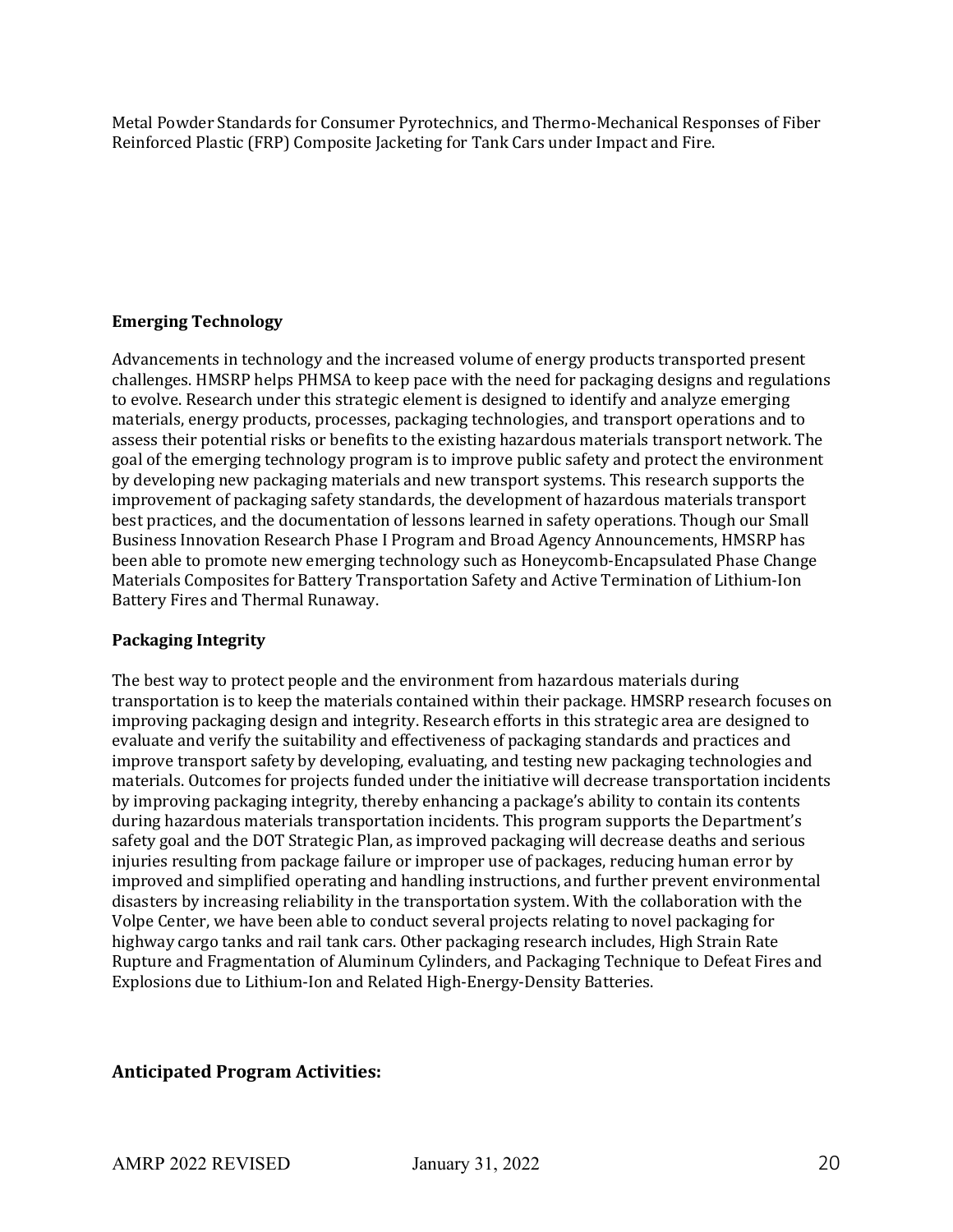Metal Powder Standards for Consumer Pyrotechnics, and Thermo-Mechanical Responses of Fiber Reinforced Plastic (FRP) Composite Jacketing for Tank Cars under Impact and Fire.

#### **Emerging Technology**

Advancements in technology and the increased volume of energy products transported present challenges. HMSRP helps PHMSA to keep pace with the need for packaging designs and regulations to evolve. Research under this strategic element is designed to identify and analyze emerging materials, energy products, processes, packaging technologies, and transport operations and to assess their potential risks or benefits to the existing hazardous materials transport network. The goal of the emerging technology program is to improve public safety and protect the environment by developing new packaging materials and new transport systems. This research supports the improvement of packaging safety standards, the development of hazardous materials transport best practices, and the documentation of lessons learned in safety operations. Though our Small Business Innovation Research Phase I Program and Broad Agency Announcements, HMSRP has been able to promote new emerging technology such as Honeycomb-Encapsulated Phase Change Materials Composites for Battery Transportation Safety and Active Termination of Lithium-Ion Battery Fires and Thermal Runaway.

#### **Packaging Integrity**

The best way to protect people and the environment from hazardous materials during transportation is to keep the materials contained within their package. HMSRP research focuses on improving packaging design and integrity. Research efforts in this strategic area are designed to evaluate and verify the suitability and effectiveness of packaging standards and practices and improve transport safety by developing, evaluating, and testing new packaging technologies and materials. Outcomes for projects funded under the initiative will decrease transportation incidents by improving packaging integrity, thereby enhancing a package's ability to contain its contents during hazardous materials transportation incidents. This program supports the Department's safety goal and the DOT Strategic Plan, as improved packaging will decrease deaths and serious injuries resulting from package failure or improper use of packages, reducing human error by improved and simplified operating and handling instructions, and further prevent environmental disasters by increasing reliability in the transportation system. With the collaboration with the Volpe Center, we have been able to conduct several projects relating to novel packaging for highway cargo tanks and rail tank cars. Other packaging research includes, High Strain Rate Rupture and Fragmentation of Aluminum Cylinders, and Packaging Technique to Defeat Fires and Explosions due to Lithium-Ion and Related High-Energy-Density Batteries.

### **Anticipated Program Activities:**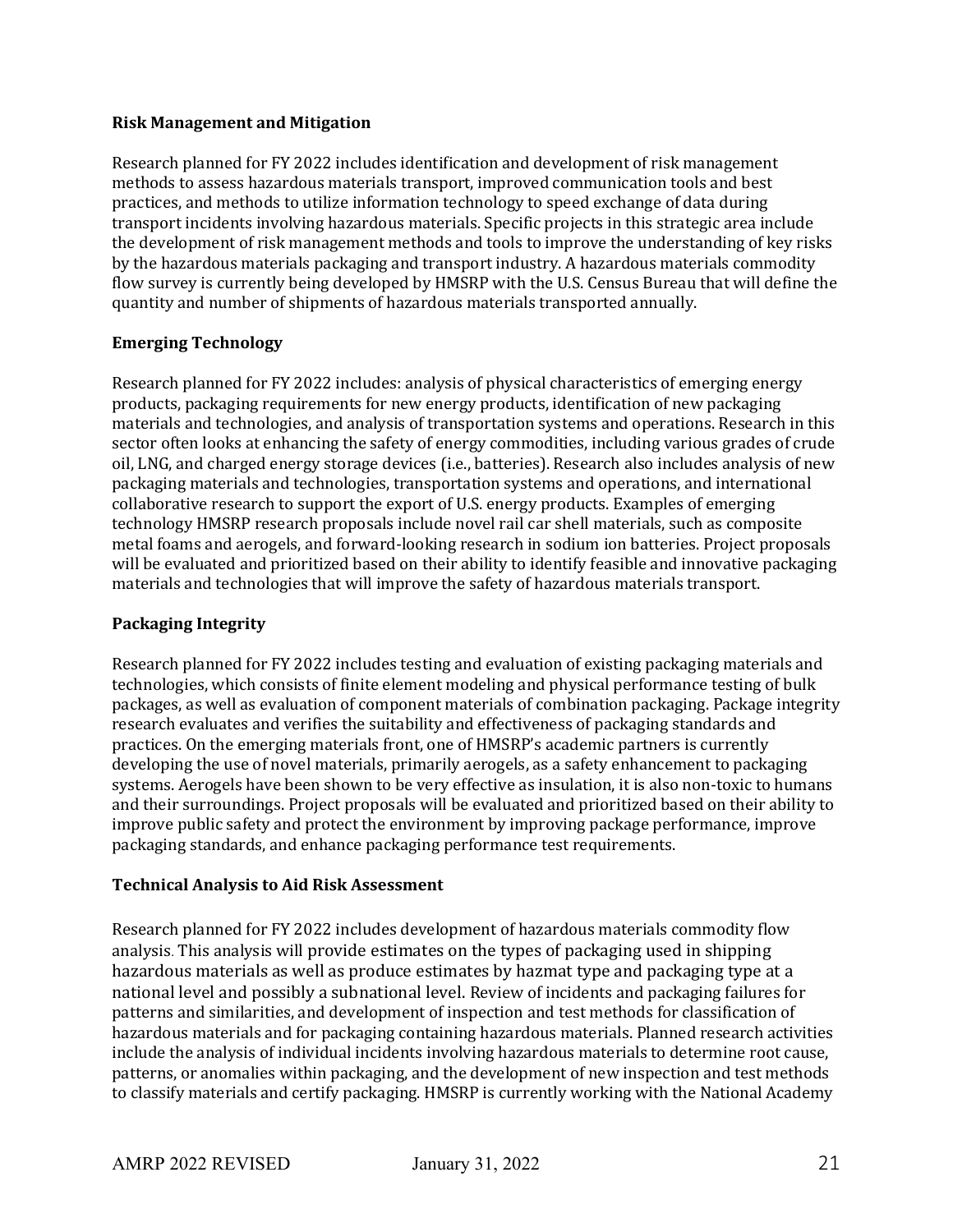#### **Risk Management and Mitigation**

Research planned for FY 2022 includes identification and development of risk management methods to assess hazardous materials transport, improved communication tools and best practices, and methods to utilize information technology to speed exchange of data during transport incidents involving hazardous materials. Specific projects in this strategic area include the development of risk management methods and tools to improve the understanding of key risks by the hazardous materials packaging and transport industry. A hazardous materials commodity flow survey is currently being developed by HMSRP with the U.S. Census Bureau that will define the quantity and number of shipments of hazardous materials transported annually.

#### **Emerging Technology**

Research planned for FY 2022 includes: analysis of physical characteristics of emerging energy products, packaging requirements for new energy products, identification of new packaging materials and technologies, and analysis of transportation systems and operations. Research in this sector often looks at enhancing the safety of energy commodities, including various grades of crude oil, LNG, and charged energy storage devices (i.e., batteries). Research also includes analysis of new packaging materials and technologies, transportation systems and operations, and international collaborative research to support the export of U.S. energy products. Examples of emerging technology HMSRP research proposals include novel rail car shell materials, such as composite metal foams and aerogels, and forward-looking research in sodium ion batteries. Project proposals will be evaluated and prioritized based on their ability to identify feasible and innovative packaging materials and technologies that will improve the safety of hazardous materials transport.

#### **Packaging Integrity**

Research planned for FY 2022 includes testing and evaluation of existing packaging materials and technologies, which consists of finite element modeling and physical performance testing of bulk packages, as well as evaluation of component materials of combination packaging. Package integrity research evaluates and verifies the suitability and effectiveness of packaging standards and practices. On the emerging materials front, one of HMSRP's academic partners is currently developing the use of novel materials, primarily aerogels, as a safety enhancement to packaging systems. Aerogels have been shown to be very effective as insulation, it is also non-toxic to humans and their surroundings. Project proposals will be evaluated and prioritized based on their ability to improve public safety and protect the environment by improving package performance, improve packaging standards, and enhance packaging performance test requirements.

#### **Technical Analysis to Aid Risk Assessment**

Research planned for FY 2022 includes development of hazardous materials commodity flow analysis. This analysis will provide estimates on the types of packaging used in shipping hazardous materials as well as produce estimates by hazmat type and packaging type at a national level and possibly a subnational level. Review of incidents and packaging failures for patterns and similarities, and development of inspection and test methods for classification of hazardous materials and for packaging containing hazardous materials. Planned research activities include the analysis of individual incidents involving hazardous materials to determine root cause, patterns, or anomalies within packaging, and the development of new inspection and test methods to classify materials and certify packaging. HMSRP is currently working with the National Academy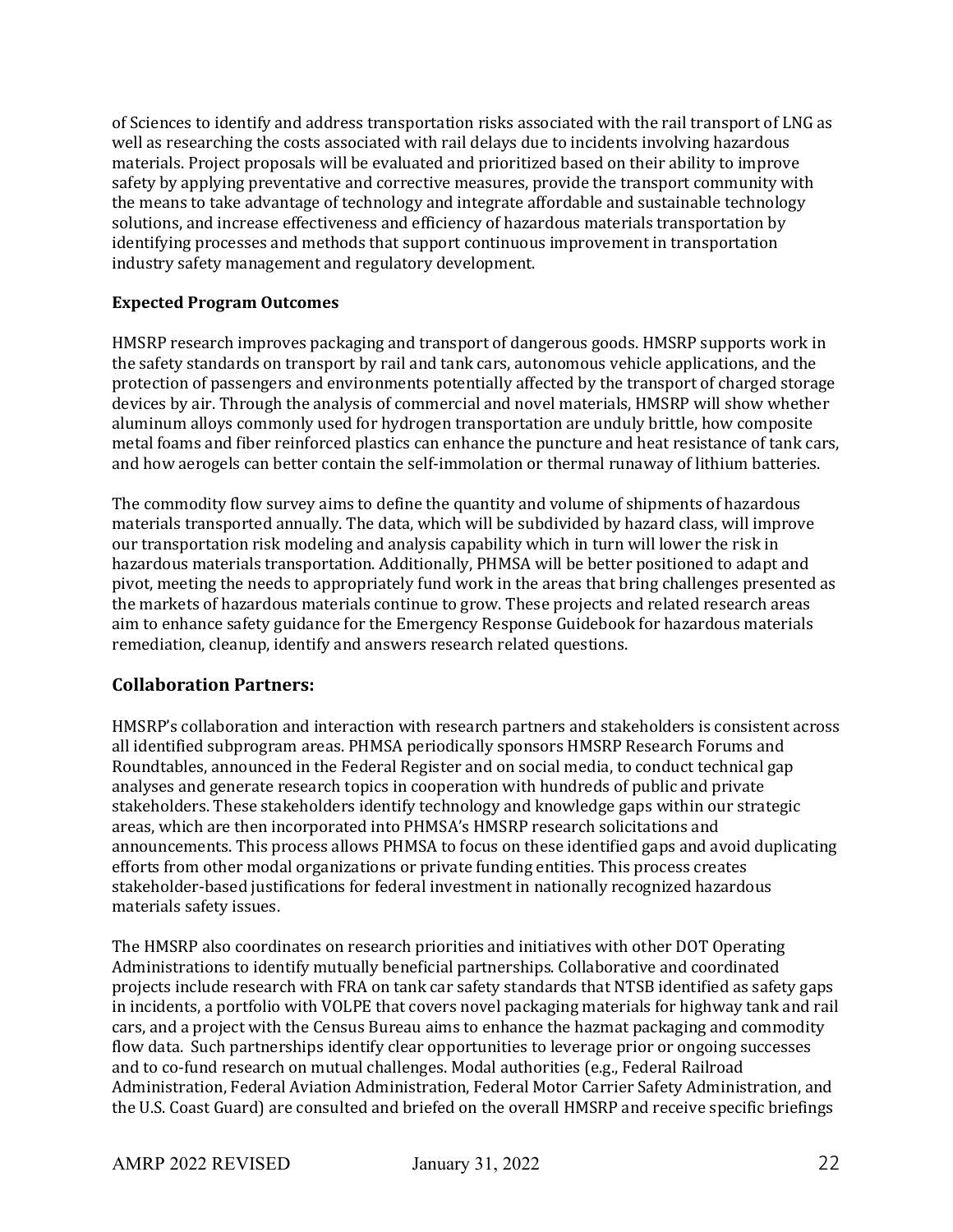of Sciences to identify and address transportation risks associated with the rail transport of LNG as well as researching the costs associated with rail delays due to incidents involving hazardous materials. Project proposals will be evaluated and prioritized based on their ability to improve safety by applying preventative and corrective measures, provide the transport community with the means to take advantage of technology and integrate affordable and sustainable technology solutions, and increase effectiveness and efficiency of hazardous materials transportation by identifying processes and methods that support continuous improvement in transportation industry safety management and regulatory development.

#### **Expected Program Outcomes**

HMSRP research improves packaging and transport of dangerous goods. HMSRP supports work in the safety standards on transport by rail and tank cars, autonomous vehicle applications, and the protection of passengers and environments potentially affected by the transport of charged storage devices by air. Through the analysis of commercial and novel materials, HMSRP will show whether aluminum alloys commonly used for hydrogen transportation are unduly brittle, how composite metal foams and fiber reinforced plastics can enhance the puncture and heat resistance of tank cars, and how aerogels can better contain the self-immolation or thermal runaway of lithium batteries.

The commodity flow survey aims to define the quantity and volume of shipments of hazardous materials transported annually. The data, which will be subdivided by hazard class, will improve our transportation risk modeling and analysis capability which in turn will lower the risk in hazardous materials transportation. Additionally, PHMSA will be better positioned to adapt and pivot, meeting the needs to appropriately fund work in the areas that bring challenges presented as the markets of hazardous materials continue to grow. These projects and related research areas aim to enhance safety guidance for the Emergency Response Guidebook for hazardous materials remediation, cleanup, identify and answers research related questions.

### **Collaboration Partners:**

HMSRP's collaboration and interaction with research partners and stakeholders is consistent across all identified subprogram areas. PHMSA periodically sponsors HMSRP Research Forums and Roundtables, announced in the Federal Register and on social media, to conduct technical gap analyses and generate research topics in cooperation with hundreds of public and private stakeholders. These stakeholders identify technology and knowledge gaps within our strategic areas, which are then incorporated into PHMSA's HMSRP research solicitations and announcements. This process allows PHMSA to focus on these identified gaps and avoid duplicating efforts from other modal organizations or private funding entities. This process creates stakeholder-based justifications for federal investment in nationally recognized hazardous materials safety issues.

The HMSRP also coordinates on research priorities and initiatives with other DOT Operating Administrations to identify mutually beneficial partnerships. Collaborative and coordinated projects include research with FRA on tank car safety standards that NTSB identified as safety gaps in incidents, a portfolio with VOLPE that covers novel packaging materials for highway tank and rail cars, and a project with the Census Bureau aims to enhance the hazmat packaging and commodity flow data. Such partnerships identify clear opportunities to leverage prior or ongoing successes and to co-fund research on mutual challenges. Modal authorities (e.g., Federal Railroad Administration, Federal Aviation Administration, Federal Motor Carrier Safety Administration, and the U.S. Coast Guard) are consulted and briefed on the overall HMSRP and receive specific briefings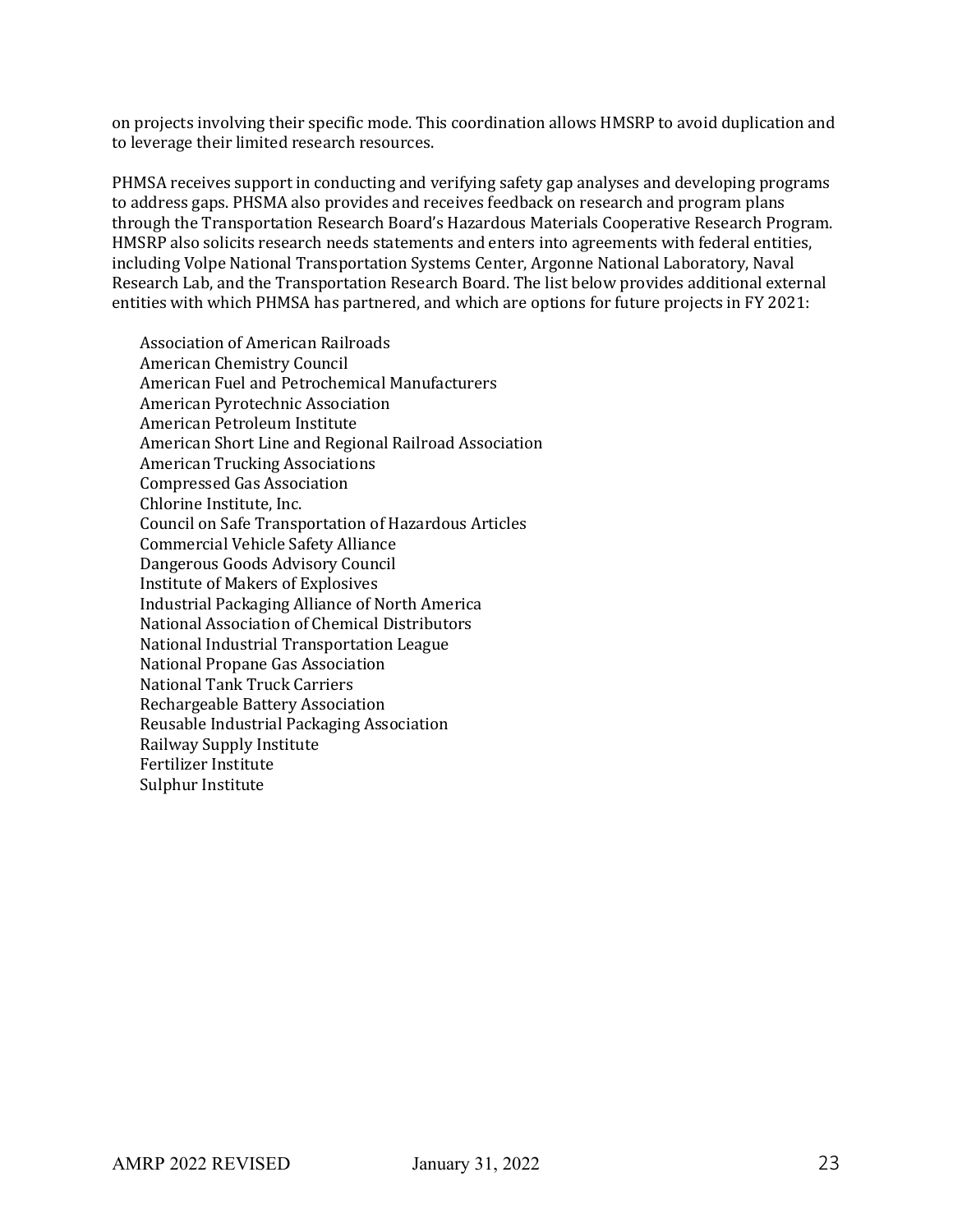on projects involving their specific mode. This coordination allows HMSRP to avoid duplication and to leverage their limited research resources.

PHMSA receives support in conducting and verifying safety gap analyses and developing programs to address gaps. PHSMA also provides and receives feedback on research and program plans through the Transportation Research Board's Hazardous Materials Cooperative Research Program. HMSRP also solicits research needs statements and enters into agreements with federal entities, including Volpe National Transportation Systems Center, Argonne National Laboratory, Naval Research Lab, and the Transportation Research Board. The list below provides additional external entities with which PHMSA has partnered, and which are options for future projects in FY 2021:

Association of American Railroads American Chemistry Council American Fuel and Petrochemical Manufacturers American Pyrotechnic Association American Petroleum Institute American Short Line and Regional Railroad Association American Trucking Associations Compressed Gas Association Chlorine Institute, Inc. Council on Safe Transportation of Hazardous Articles Commercial Vehicle Safety Alliance Dangerous Goods Advisory Council Institute of Makers of Explosives Industrial Packaging Alliance of North America National Association of Chemical Distributors National Industrial Transportation League National Propane Gas Association National Tank Truck Carriers Rechargeable Battery Association Reusable Industrial Packaging Association Railway Supply Institute Fertilizer Institute Sulphur Institute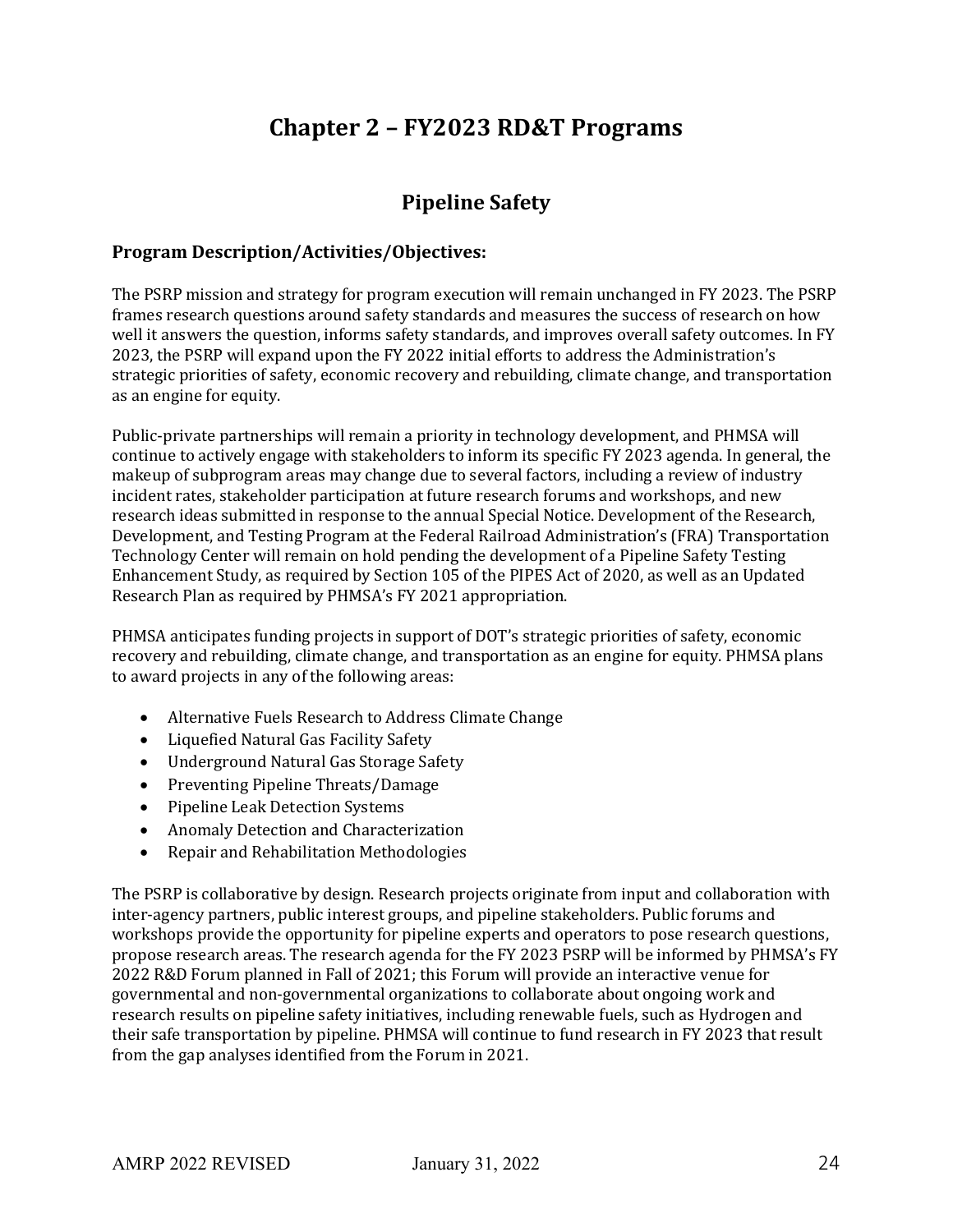# **Chapter 2 – FY2023 RD&T Programs**

## **Pipeline Safety**

### **Program Description/Activities/Objectives:**

The PSRP mission and strategy for program execution will remain unchanged in FY 2023. The PSRP frames research questions around safety standards and measures the success of research on how well it answers the question, informs safety standards, and improves overall safety outcomes. In FY 2023, the PSRP will expand upon the FY 2022 initial efforts to address the Administration's strategic priorities of safety, economic recovery and rebuilding, climate change, and transportation as an engine for equity.

Public-private partnerships will remain a priority in technology development, and PHMSA will continue to actively engage with stakeholders to inform its specific FY 2023 agenda. In general, the makeup of subprogram areas may change due to several factors, including a review of industry incident rates, stakeholder participation at future research forums and workshops, and new research ideas submitted in response to the annual Special Notice. Development of the Research, Development, and Testing Program at the Federal Railroad Administration's (FRA) Transportation Technology Center will remain on hold pending the development of a Pipeline Safety Testing Enhancement Study, as required by Section 105 of the PIPES Act of 2020, as well as an Updated Research Plan as required by PHMSA's FY 2021 appropriation.

PHMSA anticipates funding projects in support of DOT's strategic priorities of safety, economic recovery and rebuilding, climate change, and transportation as an engine for equity. PHMSA plans to award projects in any of the following areas:

- Alternative Fuels Research to Address Climate Change
- Liquefied Natural Gas Facility Safety
- Underground Natural Gas Storage Safety
- Preventing Pipeline Threats/Damage
- Pipeline Leak Detection Systems
- Anomaly Detection and Characterization
- Repair and Rehabilitation Methodologies

The PSRP is collaborative by design. Research projects originate from input and collaboration with inter-agency partners, public interest groups, and pipeline stakeholders. Public forums and workshops provide the opportunity for pipeline experts and operators to pose research questions, propose research areas. The research agenda for the FY 2023 PSRP will be informed by PHMSA's FY 2022 R&D Forum planned in Fall of 2021; this Forum will provide an interactive venue for governmental and non-governmental organizations to collaborate about ongoing work and research results on pipeline safety initiatives, including renewable fuels, such as Hydrogen and their safe transportation by pipeline. PHMSA will continue to fund research in FY 2023 that result from the gap analyses identified from the Forum in 2021.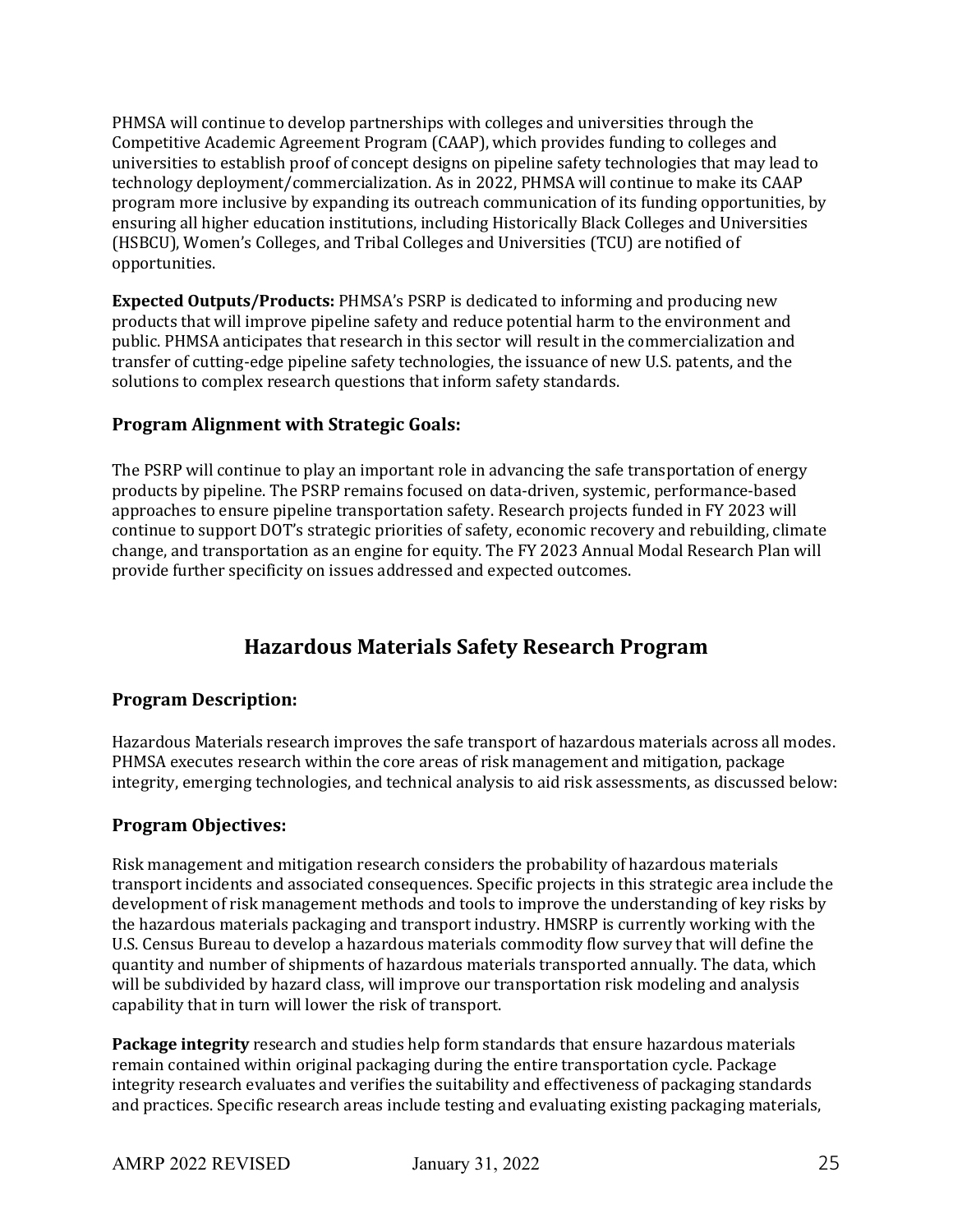PHMSA will continue to develop partnerships with colleges and universities through the Competitive Academic Agreement Program (CAAP), which provides funding to colleges and universities to establish proof of concept designs on pipeline safety technologies that may lead to technology deployment/commercialization. As in 2022, PHMSA will continue to make its CAAP program more inclusive by expanding its outreach communication of its funding opportunities, by ensuring all higher education institutions, including Historically Black Colleges and Universities (HSBCU), Women's Colleges, and Tribal Colleges and Universities (TCU) are notified of opportunities.

**Expected Outputs/Products:** PHMSA's PSRP is dedicated to informing and producing new products that will improve pipeline safety and reduce potential harm to the environment and public. PHMSA anticipates that research in this sector will result in the commercialization and transfer of cutting-edge pipeline safety technologies, the issuance of new U.S. patents, and the solutions to complex research questions that inform safety standards.

### **Program Alignment with Strategic Goals:**

The PSRP will continue to play an important role in advancing the safe transportation of energy products by pipeline. The PSRP remains focused on data-driven, systemic, performance-based approaches to ensure pipeline transportation safety. Research projects funded in FY 2023 will continue to support DOT's strategic priorities of safety, economic recovery and rebuilding, climate change, and transportation as an engine for equity. The FY 2023 Annual Modal Research Plan will provide further specificity on issues addressed and expected outcomes.

## **Hazardous Materials Safety Research Program**

### **Program Description:**

Hazardous Materials research improves the safe transport of hazardous materials across all modes. PHMSA executes research within the core areas of risk management and mitigation, package integrity, emerging technologies, and technical analysis to aid risk assessments, as discussed below:

### **Program Objectives:**

Risk management and mitigation research considers the probability of hazardous materials transport incidents and associated consequences. Specific projects in this strategic area include the development of risk management methods and tools to improve the understanding of key risks by the hazardous materials packaging and transport industry. HMSRP is currently working with the U.S. Census Bureau to develop a hazardous materials commodity flow survey that will define the quantity and number of shipments of hazardous materials transported annually. The data, which will be subdivided by hazard class, will improve our transportation risk modeling and analysis capability that in turn will lower the risk of transport.

**Package integrity** research and studies help form standards that ensure hazardous materials remain contained within original packaging during the entire transportation cycle. Package integrity research evaluates and verifies the suitability and effectiveness of packaging standards and practices. Specific research areas include testing and evaluating existing packaging materials,